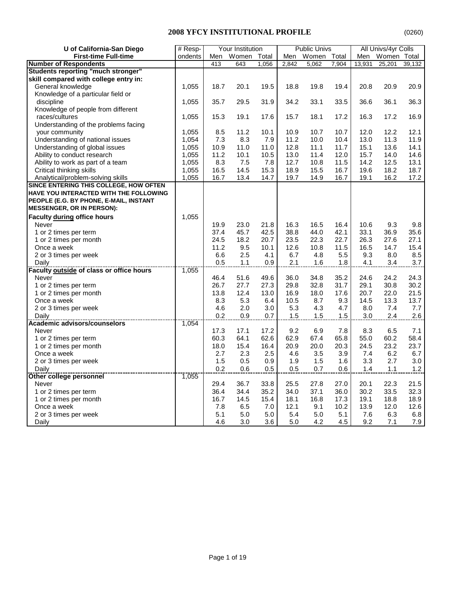| U of California-San Diego                                | # Resp- |             | Your Institution |       |              | <b>Public Univs</b> |       |              | All Univs/4yr Colls |             |
|----------------------------------------------------------|---------|-------------|------------------|-------|--------------|---------------------|-------|--------------|---------------------|-------------|
| <b>First-time Full-time</b>                              | ondents | Men         | Women            | Total | Men          | Women               | Total | Men          | Women Total         |             |
| <b>Number of Respondents</b>                             |         | 413         | 643              | 1,056 | 2,842        | 5,062               | 7,904 | 13,931       | 25,201              | 39,132      |
| <b>Students reporting "much stronger"</b>                |         |             |                  |       |              |                     |       |              |                     |             |
| skill compared with college entry in:                    |         |             |                  |       |              |                     |       |              |                     |             |
| General knowledge                                        | 1,055   | 18.7        | 20.1             | 19.5  | 18.8         | 19.8                | 19.4  | 20.8         | 20.9                | 20.9        |
| Knowledge of a particular field or                       |         |             |                  |       |              |                     |       |              |                     |             |
| discipline                                               | 1,055   | 35.7        | 29.5             | 31.9  | 34.2         | 33.1                | 33.5  | 36.6         | 36.1                | 36.3        |
| Knowledge of people from different                       |         |             |                  |       |              |                     |       |              |                     |             |
| races/cultures                                           | 1,055   | 15.3        | 19.1             | 17.6  | 15.7         | 18.1                | 17.2  | 16.3         | 17.2                | 16.9        |
| Understanding of the problems facing                     |         |             |                  |       |              |                     |       |              |                     |             |
| your community                                           | 1,055   | 8.5         | 11.2             | 10.1  | 10.9         | 10.7                | 10.7  | 12.0         | 12.2                | 12.1        |
| Understanding of national issues                         | 1,054   | 7.3         | 8.3              | 7.9   | 11.2         | 10.0                | 10.4  | 13.0         | 11.3                | 11.9        |
| Understanding of global issues                           | 1,055   | 10.9        | 11.0             | 11.0  | 12.8         | 11.1                | 11.7  | 15.1         | 13.6                | 14.1        |
| Ability to conduct research                              | 1,055   | 11.2        | 10.1             | 10.5  | 13.0         | 11.4                | 12.0  | 15.7         | 14.0                | 14.6        |
| Ability to work as part of a team                        | 1,055   | 8.3         | 7.5              | 7.8   | 12.7         | 10.8                | 11.5  | 14.2         | 12.5                | 13.1        |
| Critical thinking skills                                 | 1,055   | 16.5        | 14.5             | 15.3  | 18.9         | 15.5                | 16.7  | 19.6         | 18.2                | 18.7        |
| Analytical/problem-solving skills                        | 1,055   | 16.7        | 13.4             | 14.7  | 19.7         | 14.9                | 16.7  | 19.1         | 16.2                | 17.2        |
| SINCE ENTERING THIS COLLEGE, HOW OFTEN                   |         |             |                  |       |              |                     |       |              |                     |             |
| HAVE YOU INTERACTED WITH THE FOLLOWING                   |         |             |                  |       |              |                     |       |              |                     |             |
| PEOPLE (E.G. BY PHONE, E-MAIL, INSTANT                   |         |             |                  |       |              |                     |       |              |                     |             |
| <b>MESSENGER, OR IN PERSON):</b>                         |         |             |                  |       |              |                     |       |              |                     |             |
| Faculty during office hours                              | 1,055   |             |                  |       |              |                     |       |              |                     |             |
| Never                                                    |         | 19.9        | 23.0             | 21.8  | 16.3         | 16.5                | 16.4  | 10.6         | 9.3                 |             |
|                                                          |         |             |                  |       |              |                     |       |              |                     | 9.8         |
| 1 or 2 times per term                                    |         | 37.4        | 45.7             | 42.5  | 38.8<br>23.5 | 44.0                | 42.1  | 33.1<br>26.3 | 36.9                | 35.6        |
| 1 or 2 times per month                                   |         | 24.5        | 18.2             | 20.7  |              | 22.3                | 22.7  |              | 27.6                | 27.1        |
| Once a week                                              |         | 11.2        | 9.5              | 10.1  | 12.6         | 10.8                | 11.5  | 16.5         | 14.7                | 15.4        |
| 2 or 3 times per week                                    |         | 6.6         | 2.5              | 4.1   | 6.7          | 4.8                 | 5.5   | 9.3          | 8.0                 | 8.5         |
| Daily<br><b>Faculty outside of class or office hours</b> | 1,055   | 0.5         | 1.1              | 0.9   | 2.1          | 1.6                 | 1.8   | 4.1          | 3.4                 | $3.7\,$     |
|                                                          |         | 46.4        |                  |       | 36.0         |                     | 35.2  | 24.6         | 24.2                | 24.3        |
| Never                                                    |         |             | 51.6             | 49.6  |              | 34.8                |       |              |                     |             |
| 1 or 2 times per term                                    |         | 26.7        | 27.7<br>12.4     | 27.3  | 29.8         | 32.8<br>18.0        | 31.7  | 29.1         | 30.8<br>22.0        | 30.2        |
| 1 or 2 times per month                                   |         | 13.8        |                  | 13.0  | 16.9         |                     | 17.6  | 20.7         |                     | 21.5        |
| Once a week                                              |         | 8.3         | 5.3              | 6.4   | 10.5         | 8.7                 | 9.3   | 14.5         | 13.3                | 13.7        |
| 2 or 3 times per week                                    |         | 4.6         | 2.0              | 3.0   | 5.3          | 4.3                 | 4.7   | 8.0          | 7.4                 | 7.7         |
| Daily<br>Academic advisors/counselors                    | 1,054   | 0.2         | 0.9              | 0.7   | 1.5          | 1.5                 | 1.5   | 3.0          | 2.4                 | 2.6         |
| Never                                                    |         | 17.3        | 17.1             | 17.2  | 9.2          | 6.9                 | 7.8   | 8.3          | 6.5                 | 7.1         |
| 1 or 2 times per term                                    |         | 60.3        | 64.1             | 62.6  | 62.9         | 67.4                | 65.8  | 55.0         | 60.2                | 58.4        |
| 1 or 2 times per month                                   |         | 18.0        | 15.4             | 16.4  | 20.9         | 20.0                | 20.3  | 24.5         | 23.2                | 23.7        |
| Once a week                                              |         | 2.7         | 2.3              | 2.5   | 4.6          | 3.5                 | 3.9   | 7.4          | 6.2                 | 6.7         |
|                                                          |         |             |                  |       |              |                     |       |              |                     |             |
| 2 or 3 times per week                                    |         | 1.5         | 0.5              | 0.9   | 1.9          | 1.5                 | 1.6   | 3.3          | 2.7                 | 3.0         |
| Daily<br>Other college personnel                         | 1,055   | 0.2         | 0.6              | 0.5   | 0.5          | 0.7                 | 0.6   | 1.4          | 1.1                 | 1.2         |
| <b>Never</b>                                             |         | 29.4        | 36.7             | 33.8  | 25.5         | 27.8                | 27.0  | 20.1         | 22.3                | 21.5        |
|                                                          |         | 36.4        | 34.4             | 35.2  | 34.0         | 37.1                | 36.0  | 30.2         | 33.5                | 32.3        |
| 1 or 2 times per term                                    |         |             |                  |       |              |                     |       |              |                     | 18.9        |
| 1 or 2 times per month                                   |         | 16.7<br>7.8 | 14.5             | 15.4  | 18.1         | 16.8                | 17.3  | 19.1         | 18.8                |             |
| Once a week                                              |         |             | 6.5              | 7.0   | 12.1         | 9.1                 | 10.2  | 13.9         | 12.0                | 12.6<br>6.8 |
| 2 or 3 times per week                                    |         | 5.1         | 5.0              | 5.0   | 5.4          | 5.0                 | 5.1   | 7.6          | 6.3                 |             |
| Daily                                                    |         | 4.6         | 3.0              | 3.6   | 5.0          | 4.2                 | 4.5   | 9.2          | 7.1                 | 7.9         |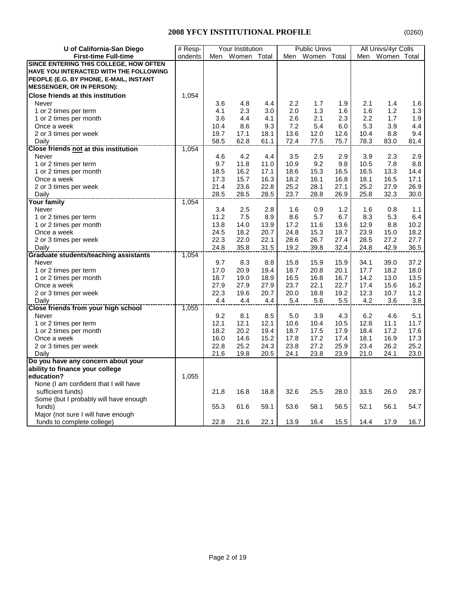| U of California-San Diego                                   | # Resp- |      | Your Institution |      |      | <b>Public Univs</b> |      |                  | All Univs/4yr Colls |      |
|-------------------------------------------------------------|---------|------|------------------|------|------|---------------------|------|------------------|---------------------|------|
| <b>First-time Full-time</b>                                 | ondents | Men  | Women Total      |      | Men  | Women Total         |      | Men              | Women Total         |      |
| SINCE ENTERING THIS COLLEGE, HOW OFTEN                      |         |      |                  |      |      |                     |      |                  |                     |      |
| HAVE YOU INTERACTED WITH THE FOLLOWING                      |         |      |                  |      |      |                     |      |                  |                     |      |
| PEOPLE (E.G. BY PHONE, E-MAIL, INSTANT                      |         |      |                  |      |      |                     |      |                  |                     |      |
| <b>MESSENGER, OR IN PERSON):</b>                            |         |      |                  |      |      |                     |      |                  |                     |      |
| <b>Close friends at this institution</b>                    | 1,054   |      |                  |      |      |                     |      |                  |                     |      |
| Never                                                       |         | 3.6  | 4.8              | 4.4  | 2.2  | 1.7                 | 1.9  | 2.1              | 1.4                 | 1.6  |
| 1 or 2 times per term                                       |         | 4.1  | 2.3              | 3.0  | 2.0  | 1.3                 | 1.6  | 1.6              | 1.2                 | 1.3  |
| 1 or 2 times per month                                      |         | 3.6  | 4.4              | 4.1  | 2.6  | 2.1                 | 2.3  | $2.2\phantom{0}$ | 1.7                 | 1.9  |
| Once a week                                                 |         | 10.4 | 8.6              | 9.3  | 7.2  | 5.4                 | 6.0  | 5.3              | 3.9                 | 4.4  |
| 2 or 3 times per week                                       |         | 19.7 | 17.1             | 18.1 | 13.6 | 12.0                | 12.6 | 10.4             | 8.8                 | 9.4  |
| Daily                                                       |         | 58.5 | 62.8             | 61.1 | 72.4 | 77.5                | 75.7 | 78.3             | 83.0                | 81.4 |
| <b>Close friends not at this institution</b>                | 1,054   |      |                  |      |      |                     |      |                  |                     |      |
| Never                                                       |         | 4.6  | 4.2              | 4.4  | 3.5  | 2.5                 | 2.9  | 3.9              | 2.3                 | 2.9  |
| 1 or 2 times per term                                       |         | 9.7  | 11.8             | 11.0 | 10.9 | 9.2                 | 9.8  | 10.5             | 7.8                 | 8.8  |
| 1 or 2 times per month                                      |         | 18.5 | 16.2             | 17.1 | 18.6 | 15.3                | 16.5 | 16.5             | 13.3                | 14.4 |
| Once a week                                                 |         | 17.3 | 15.7             | 16.3 | 18.2 | 16.1                | 16.8 | 18.1             | 16.5                | 17.1 |
| 2 or 3 times per week                                       |         | 21.4 | 23.6             | 22.8 | 25.2 | 28.1                | 27.1 | 25.2             | 27.9                | 26.9 |
| Daily                                                       |         | 28.5 | 28.5             | 28.5 | 23.7 | 28.8                | 26.9 | 25.8             | 32.3                | 30.0 |
| -------------------------------------<br><b>Your family</b> | 1,054   |      |                  |      |      |                     |      |                  |                     |      |
| Never                                                       |         | 3.4  | 2.5              | 2.8  | 1.6  | 0.9                 | 1.2  | 1.6              | 0.8                 | 1.1  |
| 1 or 2 times per term                                       |         | 11.2 | 7.5              | 8.9  | 8.6  | 5.7                 | 6.7  | 8.3              | 5.3                 | 6.4  |
| 1 or 2 times per month                                      |         | 13.8 | 14.0             | 13.9 | 17.2 | 11.6                | 13.6 | 12.9             | 8.8                 | 10.2 |
| Once a week                                                 |         | 24.5 | 18.2             | 20.7 | 24.8 | 15.3                | 18.7 | 23.9             | 15.0                | 18.2 |
| 2 or 3 times per week                                       |         | 22.3 | 22.0             | 22.1 | 28.6 | 26.7                | 27.4 | 28.5             | 27.2                | 27.7 |
| Daily                                                       |         | 24.8 | 35.8             | 31.5 | 19.2 | 39.8                | 32.4 | 24.8             | 42.9                | 36.5 |
| Graduate students/teaching assistants                       | 1,054   |      |                  |      |      |                     |      |                  |                     |      |
| Never                                                       |         | 9.7  | 8.3              | 8.8  | 15.8 | 15.9                | 15.9 | 34.1             | 39.0                | 37.2 |
| 1 or 2 times per term                                       |         | 17.0 | 20.9             | 19.4 | 18.7 | 20.8                | 20.1 | 17.7             | 18.2                | 18.0 |
| 1 or 2 times per month                                      |         | 18.7 | 19.0             | 18.9 | 16.5 | 16.8                | 16.7 | 14.2             | 13.0                | 13.5 |
| Once a week                                                 |         | 27.9 | 27.9             | 27.9 | 23.7 | 22.1                | 22.7 | 17.4             | 15.6                | 16.2 |
| 2 or 3 times per week                                       |         | 22.3 | 19.6             | 20.7 | 20.0 | 18.8                | 19.2 | 12.3             | 10.7                | 11.2 |
| Daily                                                       |         | 4.4  | 4.4              | 4.4  | 5.4  | 5.6                 | 5.5  | 4.2              | 3.6                 | 3.8  |
| Close friends from your high school                         | 1,055   |      |                  |      |      |                     |      |                  |                     |      |
| Never                                                       |         | 9.2  | 8.1              | 8.5  | 5.0  | 3.9                 | 4.3  | 6.2              | 4.6                 | 5.1  |
| 1 or 2 times per term                                       |         | 12.1 | 12.1             | 12.1 | 10.6 | 10.4                | 10.5 | 12.8             | 11.1                | 11.7 |
| 1 or 2 times per month                                      |         | 18.2 | 20.2             | 19.4 | 18.7 | 17.5                | 17.9 | 18.4             | 17.2                | 17.6 |
| Once a week                                                 |         | 16.0 | 14.6             | 15.2 | 17.8 | 17.2                | 17.4 | 18.1             | 16.9                | 17.3 |
| 2 or 3 times per week                                       |         | 22.8 | 25.2             | 24.3 | 23.8 | 27.2                | 25.9 | 23.4             | 26.2                | 25.2 |
| Daily                                                       |         | 21.6 | 19.8             | 20.5 | 24.1 | 23.8                | 23.9 | 21.0             | 24.1                | 23.0 |
| Do you have any concern about your                          |         |      |                  |      |      |                     |      |                  |                     |      |
| ability to finance your college                             |         |      |                  |      |      |                     |      |                  |                     |      |
| education?                                                  | 1,055   |      |                  |      |      |                     |      |                  |                     |      |
| None (I am confident that I will have                       |         |      |                  |      |      |                     |      |                  |                     |      |
| sufficient funds)                                           |         | 21.8 | 16.8             | 18.8 | 32.6 | 25.5                | 28.0 | 33.5             | 26.0                | 28.7 |
| Some (but I probably will have enough                       |         |      |                  |      |      |                     |      |                  |                     |      |
| funds)                                                      |         | 55.3 | 61.6             | 59.1 | 53.6 | 58.1                | 56.5 | 52.1             | 56.1                | 54.7 |
| Major (not sure I will have enough                          |         |      |                  |      |      |                     |      |                  |                     |      |
| funds to complete college)                                  |         | 22.8 | 21.6             | 22.1 | 13.9 | 16.4                | 15.5 | 14.4             | 17.9                | 16.7 |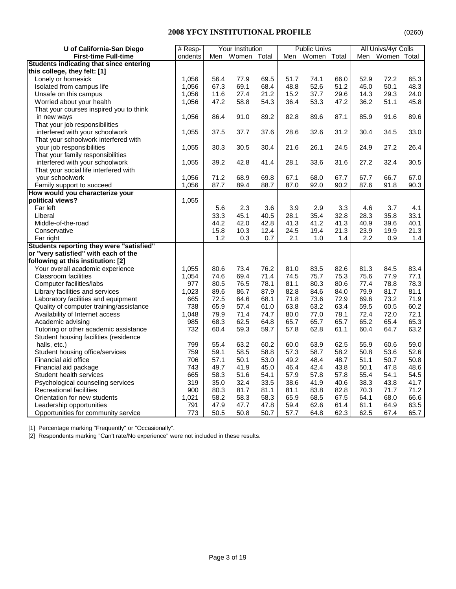| U of California-San Diego                | # Resp- |      | Your Institution |       |      | <b>Public Univs</b> |      |      | All Univs/4yr Colls |      |
|------------------------------------------|---------|------|------------------|-------|------|---------------------|------|------|---------------------|------|
| <b>First-time Full-time</b>              | ondents |      | Men Women        | Total | Men  | Women Total         |      |      | Men Women Total     |      |
| Students indicating that since entering  |         |      |                  |       |      |                     |      |      |                     |      |
| this college, they felt: [1]             |         |      |                  |       |      |                     |      |      |                     |      |
| Lonely or homesick                       | 1,056   | 56.4 | 77.9             | 69.5  | 51.7 | 74.1                | 66.0 | 52.9 | 72.2                | 65.3 |
| Isolated from campus life                | 1,056   | 67.3 | 69.1             | 68.4  | 48.8 | 52.6                | 51.2 | 45.0 | 50.1                | 48.3 |
| Unsafe on this campus                    | 1,056   | 11.6 | 27.4             | 21.2  | 15.2 | 37.7                | 29.6 | 14.3 | 29.3                | 24.0 |
| Worried about your health                | 1,056   | 47.2 | 58.8             | 54.3  | 36.4 | 53.3                | 47.2 | 36.2 | 51.1                | 45.8 |
| That your courses inspired you to think  |         |      |                  |       |      |                     |      |      |                     |      |
| in new ways                              | 1,056   | 86.4 | 91.0             | 89.2  | 82.8 | 89.6                | 87.1 | 85.9 | 91.6                | 89.6 |
| That your job responsibilities           |         |      |                  |       |      |                     |      |      |                     |      |
| interfered with your schoolwork          | 1,055   | 37.5 | 37.7             | 37.6  | 28.6 | 32.6                | 31.2 | 30.4 | 34.5                | 33.0 |
| That your schoolwork interfered with     |         |      |                  |       |      |                     |      |      |                     |      |
| your job responsibilities                | 1,055   | 30.3 | 30.5             | 30.4  | 21.6 | 26.1                | 24.5 | 24.9 | 27.2                | 26.4 |
| That your family responsibilities        |         |      |                  |       |      |                     |      |      |                     |      |
| interfered with your schoolwork          | 1,055   | 39.2 | 42.8             | 41.4  | 28.1 | 33.6                | 31.6 | 27.2 | 32.4                | 30.5 |
| That your social life interfered with    |         |      |                  |       |      |                     |      |      |                     |      |
| your schoolwork                          | 1,056   | 71.2 | 68.9             | 69.8  | 67.1 | 68.0                | 67.7 | 67.7 | 66.7                | 67.0 |
| Family support to succeed                | 1,056   | 87.7 | 89.4             | 88.7  | 87.0 | 92.0                | 90.2 | 87.6 | 91.8                | 90.3 |
| How would you characterize your          |         |      |                  |       |      |                     |      |      |                     |      |
| political views?                         | 1,055   |      |                  |       |      |                     |      |      |                     |      |
| Far left                                 |         | 5.6  | 2.3              | 3.6   | 3.9  | 2.9                 | 3.3  | 4.6  | 3.7                 | 4.1  |
| Liberal                                  |         | 33.3 | 45.1             | 40.5  | 28.1 | 35.4                | 32.8 | 28.3 | 35.8                | 33.1 |
| Middle-of-the-road                       |         | 44.2 | 42.0             | 42.8  | 41.3 | 41.2                | 41.3 | 40.9 | 39.6                | 40.1 |
| Conservative                             |         | 15.8 | 10.3             | 12.4  | 24.5 | 19.4                | 21.3 | 23.9 | 19.9                | 21.3 |
| Far right                                |         | 1.2  | 0.3              | 0.7   | 2.1  | 1.0                 | 1.4  | 2.2  | 0.9                 | 1.4  |
| Students reporting they were "satisfied" |         |      |                  |       |      |                     |      |      |                     |      |
| or "very satisfied" with each of the     |         |      |                  |       |      |                     |      |      |                     |      |
| following at this institution: [2]       |         |      |                  |       |      |                     |      |      |                     |      |
| Your overall academic experience         | 1,055   | 80.6 | 73.4             | 76.2  | 81.0 | 83.5                | 82.6 | 81.3 | 84.5                | 83.4 |
| Classroom facilities                     | 1,054   | 74.6 | 69.4             | 71.4  | 74.5 | 75.7                | 75.3 | 75.6 | 77.9                | 77.1 |
| Computer facilities/labs                 | 977     | 80.5 | 76.5             | 78.1  | 81.1 | 80.3                | 80.6 | 77.4 | 78.8                | 78.3 |
| Library facilities and services          | 1,023   | 89.6 | 86.7             | 87.9  | 82.8 | 84.6                | 84.0 | 79.9 | 81.7                | 81.1 |
| Laboratory facilities and equipment      | 665     | 72.5 | 64.6             | 68.1  | 71.8 | 73.6                | 72.9 | 69.6 | 73.2                | 71.9 |
| Quality of computer training/assistance  | 738     | 65.9 | 57.4             | 61.0  | 63.8 | 63.2                | 63.4 | 59.5 | 60.5                | 60.2 |
| Availability of Internet access          | 1,048   | 79.9 | 71.4             | 74.7  | 80.0 | 77.0                | 78.1 | 72.4 | 72.0                | 72.1 |
| Academic advising                        | 985     | 68.3 | 62.5             | 64.8  | 65.7 | 65.7                | 65.7 | 65.2 | 65.4                | 65.3 |
| Tutoring or other academic assistance    | 732     | 60.4 | 59.3             | 59.7  | 57.8 | 62.8                | 61.1 | 60.4 | 64.7                | 63.2 |
| Student housing facilities (residence    |         |      |                  |       |      |                     |      |      |                     |      |
| halls, etc.)                             | 799     | 55.4 | 63.2             | 60.2  | 60.0 | 63.9                | 62.5 | 55.9 | 60.6                | 59.0 |
| Student housing office/services          | 759     | 59.1 | 58.5             | 58.8  | 57.3 | 58.7                | 58.2 | 50.8 | 53.6                | 52.6 |
| Financial aid office                     | 706     | 57.1 | 50.1             | 53.0  | 49.2 | 48.4                | 48.7 | 51.1 | 50.7                | 50.8 |
| Financial aid package                    | 743     | 49.7 | 41.9             | 45.0  | 46.4 | 42.4                | 43.8 | 50.1 | 47.8                | 48.6 |
| Student health services                  | 665     | 58.3 | 51.6             | 54.1  | 57.9 | 57.8                | 57.8 | 55.4 | 54.1                | 54.5 |
| Psychological counseling services        | 319     | 35.0 | 32.4             | 33.5  | 38.6 | 41.9                | 40.6 | 38.3 | 43.8                | 41.7 |
| Recreational facilities                  | 900     | 80.3 | 81.7             | 81.1  | 81.1 | 83.8                | 82.8 | 70.3 | 71.7                | 71.2 |
| Orientation for new students             | 1,021   | 58.2 | 58.3             | 58.3  | 65.9 | 68.5                | 67.5 | 64.1 | 68.0                | 66.6 |
| Leadership opportunities                 | 791     | 47.9 | 47.7             | 47.8  | 59.4 | 62.6                | 61.4 | 61.1 | 64.9                | 63.5 |
| Opportunities for community service      | 773     | 50.5 | 50.8             | 50.7  | 57.7 | 64.8                | 62.3 | 62.5 | 67.4                | 65.7 |
|                                          |         |      |                  |       |      |                     |      |      |                     |      |

[1] Percentage marking "Frequently" or "Occasionally".

[2] Respondents marking "Can't rate/No experience" were not included in these results.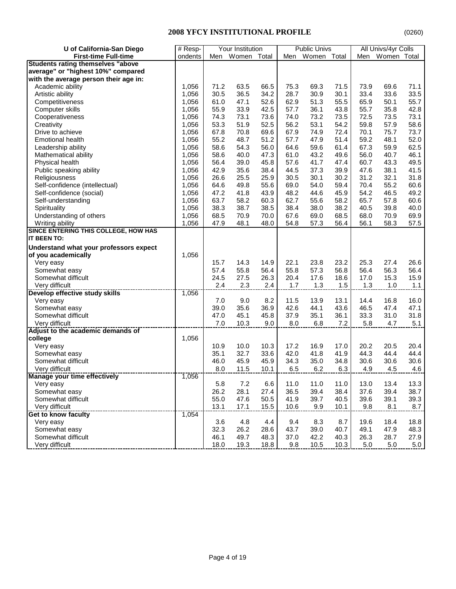| U of California-San Diego                | # Resp- |      | Your Institution |      |      | <b>Public Univs</b> |       |      | All Univs/4yr Colls |      |
|------------------------------------------|---------|------|------------------|------|------|---------------------|-------|------|---------------------|------|
| <b>First-time Full-time</b>              | ondents | Men  | Women Total      |      | Men  | Women               | Total | Men  | Women Total         |      |
| <b>Students rating themselves "above</b> |         |      |                  |      |      |                     |       |      |                     |      |
| average" or "highest 10%" compared       |         |      |                  |      |      |                     |       |      |                     |      |
| with the average person their age in:    |         |      |                  |      |      |                     |       |      |                     |      |
| Academic ability                         | 1,056   | 71.2 | 63.5             | 66.5 | 75.3 | 69.3                | 71.5  | 73.9 | 69.6                | 71.1 |
| Artistic ability                         | 1,056   | 30.5 | 36.5             | 34.2 | 28.7 | 30.9                | 30.1  | 33.4 | 33.6                | 33.5 |
| Competitiveness                          | 1,056   | 61.0 | 47.1             | 52.6 | 62.9 | 51.3                | 55.5  | 65.9 | 50.1                | 55.7 |
| Computer skills                          | 1,056   | 55.9 | 33.9             | 42.5 | 57.7 | 36.1                | 43.8  | 55.7 | 35.8                | 42.8 |
| Cooperativeness                          | 1,056   | 74.3 | 73.1             | 73.6 | 74.0 | 73.2                | 73.5  | 72.5 | 73.5                | 73.1 |
| Creativity                               | 1,056   | 53.3 | 51.9             | 52.5 | 56.2 | 53.1                | 54.2  | 59.8 | 57.9                | 58.6 |
| Drive to achieve                         | 1,056   | 67.8 | 70.8             | 69.6 | 67.9 | 74.9                | 72.4  | 70.1 | 75.7                | 73.7 |
| <b>Emotional health</b>                  | 1,056   | 55.2 | 48.7             | 51.2 | 57.7 | 47.9                | 51.4  | 59.2 | 48.1                | 52.0 |
| Leadership ability                       | 1,056   | 58.6 | 54.3             | 56.0 | 64.6 | 59.6                | 61.4  | 67.3 | 59.9                | 62.5 |
| Mathematical ability                     | 1,056   | 58.6 | 40.0             | 47.3 | 61.0 | 43.2                | 49.6  | 56.0 | 40.7                | 46.1 |
| Physical health                          | 1,056   | 56.4 | 39.0             | 45.8 | 57.6 | 41.7                | 47.4  | 60.7 | 43.3                | 49.5 |
| Public speaking ability                  | 1,056   | 42.9 | 35.6             | 38.4 | 44.5 | 37.3                | 39.9  | 47.6 | 38.1                | 41.5 |
| Religiousness                            | 1,056   | 26.6 | 25.5             | 25.9 | 30.5 | 30.1                | 30.2  | 31.2 | 32.1                | 31.8 |
| Self-confidence (intellectual)           | 1,056   | 64.6 | 49.8             | 55.6 | 69.0 | 54.0                | 59.4  | 70.4 | 55.2                | 60.6 |
| Self-confidence (social)                 | 1,056   | 47.2 | 41.8             | 43.9 | 48.2 | 44.6                | 45.9  | 54.2 | 46.5                | 49.2 |
| Self-understanding                       | 1,056   | 63.7 | 58.2             | 60.3 | 62.7 | 55.6                | 58.2  | 65.7 | 57.8                | 60.6 |
| Spirituality                             | 1,056   | 38.3 | 38.7             | 38.5 | 38.4 | 38.0                | 38.2  | 40.5 | 39.8                | 40.0 |
| Understanding of others                  | 1,056   | 68.5 | 70.9             | 70.0 | 67.6 | 69.0                | 68.5  | 68.0 | 70.9                | 69.9 |
| Writing ability                          | 1,056   | 47.9 | 48.1             | 48.0 | 54.8 | 57.3                | 56.4  | 56.1 | 58.3                | 57.5 |
| SINCE ENTERING THIS COLLEGE, HOW HAS     |         |      |                  |      |      |                     |       |      |                     |      |
| <b>IT BEEN TO:</b>                       |         |      |                  |      |      |                     |       |      |                     |      |
| Understand what your professors expect   |         |      |                  |      |      |                     |       |      |                     |      |
| of you academically                      | 1,056   |      |                  |      |      |                     |       |      |                     |      |
| Very easy                                |         | 15.7 | 14.3             | 14.9 | 22.1 | 23.8                | 23.2  | 25.3 | 27.4                | 26.6 |
| Somewhat easy                            |         | 57.4 | 55.8             | 56.4 | 55.8 | 57.3                | 56.8  | 56.4 | 56.3                | 56.4 |
| Somewhat difficult                       |         | 24.5 | 27.5             | 26.3 | 20.4 | 17.6                | 18.6  | 17.0 | 15.3                | 15.9 |
| Very difficult                           |         | 2.4  | 2.3              | 2.4  | 1.7  | 1.3                 | 1.5   | 1.3  | 1.0                 | 1.1  |
| Develop effective study skills           | 1,056   |      |                  |      |      |                     |       |      |                     |      |
| Very easy                                |         | 7.0  | 9.0              | 8.2  | 11.5 | 13.9                | 13.1  | 14.4 | 16.8                | 16.0 |
| Somewhat easy                            |         | 39.0 | 35.6             | 36.9 | 42.6 | 44.1                | 43.6  | 46.5 | 47.4                | 47.1 |
| Somewhat difficult                       |         | 47.0 | 45.1             | 45.8 | 37.9 | 35.1                | 36.1  | 33.3 | 31.0                | 31.8 |
| Very difficult                           |         | 7.0  | 10.3             | 9.0  | 8.0  | 6.8                 | 7.2   | 5.8  | 4.7                 | 5.1  |
| Adjust to the academic demands of        |         |      |                  |      |      |                     |       |      |                     |      |
| college                                  | 1,056   |      |                  |      |      |                     |       |      |                     |      |
| Very easy                                |         | 10.9 | 10.0             | 10.3 | 17.2 | 16.9                | 17.0  | 20.2 | 20.5                | 20.4 |
| Somewhat easy                            |         | 35.1 | 32.7             | 33.6 | 42.0 | 41.8                | 41.9  | 44.3 | 44.4                | 44.4 |
| Somewhat difficult                       |         | 46.0 | 45.9             | 45.9 | 34.3 | 35.0                | 34.8  | 30.6 | 30.6                | 30.6 |
| Very difficult                           |         | 8.0  | 11.5             | 10.1 | 6.5  | 6.2                 | 6.3   | 4.9  | 4.5                 | 4.6  |
| Manage your time effectively             | 1,056   |      |                  |      |      |                     |       |      |                     |      |
| Very easy                                |         | 5.8  | 7.2              | 6.6  | 11.0 | 11.0                | 11.0  | 13.0 | 13.4                | 13.3 |
| Somewhat easy                            |         | 26.2 | 28.1             | 27.4 | 36.5 | 39.4                | 38.4  | 37.6 | 39.4                | 38.7 |
| Somewhat difficult                       |         | 55.0 | 47.6             | 50.5 | 41.9 | 39.7                | 40.5  | 39.6 | 39.1                | 39.3 |
| Very difficult                           |         | 13.1 | 17.1             | 15.5 | 10.6 | 9.9                 | 10.1  | 9.8  | 8.1                 | 8.7  |
| <b>Get to know faculty</b>               | 1,054   |      |                  |      |      |                     |       |      |                     |      |
| Very easy                                |         | 3.6  | 4.8              | 4.4  | 9.4  | 8.3                 | 8.7   | 19.6 | 18.4                | 18.8 |
| Somewhat easy                            |         | 32.3 | 26.2             | 28.6 | 43.7 | 39.0                | 40.7  | 49.1 | 47.9                | 48.3 |
| Somewhat difficult                       |         | 46.1 | 49.7             | 48.3 | 37.0 | 42.2                | 40.3  | 26.3 | 28.7                | 27.9 |
| Very difficult                           |         | 18.0 | 19.3             | 18.8 | 9.8  | 10.5                | 10.3  | 5.0  | 5.0                 | 5.0  |
|                                          |         |      |                  |      |      |                     |       |      |                     |      |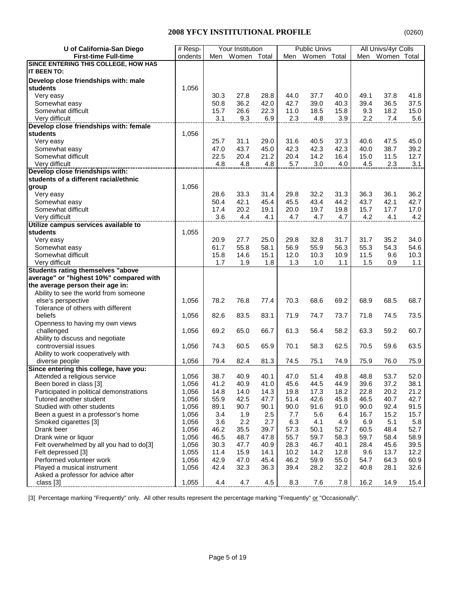| U of California-San Diego                | # Resp- |      | Your Institution |      |      | <b>Public Univs</b> |      |      | All Univs/4yr Colls |      |
|------------------------------------------|---------|------|------------------|------|------|---------------------|------|------|---------------------|------|
| <b>First-time Full-time</b>              | ondents |      | Men Women Total  |      | Men  | Women Total         |      |      | Men Women Total     |      |
| SINCE ENTERING THIS COLLEGE, HOW HAS     |         |      |                  |      |      |                     |      |      |                     |      |
| IT BEEN TO:                              |         |      |                  |      |      |                     |      |      |                     |      |
| Develop close friendships with: male     |         |      |                  |      |      |                     |      |      |                     |      |
| students                                 | 1,056   |      |                  |      |      |                     |      |      |                     |      |
| Very easy                                |         | 30.3 | 27.8             | 28.8 | 44.0 | 37.7                | 40.0 | 49.1 | 37.8                | 41.8 |
| Somewhat easy                            |         | 50.8 | 36.2             | 42.0 | 42.7 | 39.0                | 40.3 | 39.4 | 36.5                | 37.5 |
| Somewhat difficult                       |         | 15.7 | 26.6             | 22.3 | 11.0 | 18.5                | 15.8 | 9.3  | 18.2                | 15.0 |
| Very difficult                           |         | 3.1  | 9.3              | 6.9  | 2.3  | 4.8                 | 3.9  | 2.2  | 7.4                 | 5.6  |
| Develop close friendships with: female   |         |      |                  |      |      |                     |      |      |                     |      |
| <b>students</b>                          | 1,056   |      |                  |      |      |                     |      |      |                     |      |
|                                          |         | 25.7 | 31.1             | 29.0 | 31.6 | 40.5                | 37.3 | 40.6 | 47.5                | 45.0 |
| Very easy                                |         |      |                  |      |      |                     |      |      |                     |      |
| Somewhat easy                            |         | 47.0 | 43.7             | 45.0 | 42.3 | 42.3                | 42.3 | 40.0 | 38.7                | 39.2 |
| Somewhat difficult                       |         | 22.5 | 20.4             | 21.2 | 20.4 | 14.2                | 16.4 | 15.0 | 11.5                | 12.7 |
| Very difficult                           |         | 4.8  | 4.8              | 4.8  | 5.7  | 3.0                 | 4.0  | 4.5  | 2.3                 | 3.1  |
| Develop close friendships with:          |         |      |                  |      |      |                     |      |      |                     |      |
| students of a different racial/ethnic    |         |      |                  |      |      |                     |      |      |                     |      |
| group                                    | 1,056   |      |                  |      |      |                     |      |      |                     |      |
| Very easy                                |         | 28.6 | 33.3             | 31.4 | 29.8 | 32.2                | 31.3 | 36.3 | 36.1                | 36.2 |
| Somewhat easy                            |         | 50.4 | 42.1             | 45.4 | 45.5 | 43.4                | 44.2 | 43.7 | 42.1                | 42.7 |
| Somewhat difficult                       |         | 17.4 | 20.2             | 19.1 | 20.0 | 19.7                | 19.8 | 15.7 | 17.7                | 17.0 |
| Very difficult                           |         | 3.6  | 4.4              | 4.1  | 4.7  | 4.7                 | 4.7  | 4.2  | 4.1                 | 4.2  |
| Utilize campus services available to     |         |      |                  |      |      |                     |      |      |                     |      |
| students                                 | 1,055   |      |                  |      |      |                     |      |      |                     |      |
| Very easy                                |         | 20.9 | 27.7             | 25.0 | 29.8 | 32.8                | 31.7 | 31.7 | 35.2                | 34.0 |
| Somewhat easy                            |         | 61.7 | 55.8             | 58.1 | 56.9 | 55.9                | 56.3 | 55.3 | 54.3                | 54.6 |
| Somewhat difficult                       |         | 15.8 | 14.6             | 15.1 | 12.0 | 10.3                | 10.9 | 11.5 | 9.6                 | 10.3 |
| Very difficult                           |         | 1.7  | 1.9              | 1.8  | 1.3  | 1.0                 | 1.1  | 1.5  | 0.9                 | 1.1  |
| <b>Students rating themselves "above</b> |         |      |                  |      |      |                     |      |      |                     |      |
| average" or "highest 10%" compared with  |         |      |                  |      |      |                     |      |      |                     |      |
| the average person their age in:         |         |      |                  |      |      |                     |      |      |                     |      |
| Ability to see the world from someone    |         |      |                  |      |      |                     |      |      |                     |      |
| else's perspective                       | 1,056   | 78.2 | 76.8             | 77.4 | 70.3 | 68.6                | 69.2 | 68.9 | 68.5                | 68.7 |
| Tolerance of others with different       |         |      |                  |      |      |                     |      |      |                     |      |
| beliefs                                  | 1,056   | 82.6 | 83.5             | 83.1 | 71.9 | 74.7                | 73.7 | 71.8 | 74.5                | 73.5 |
| Openness to having my own views          |         |      |                  |      |      |                     |      |      |                     |      |
| challenged                               | 1,056   | 69.2 | 65.0             | 66.7 | 61.3 | 56.4                | 58.2 | 63.3 | 59.2                | 60.7 |
| Ability to discuss and negotiate         |         |      |                  |      |      |                     |      |      |                     |      |
| controversial issues                     | 1,056   | 74.3 | 60.5             | 65.9 | 70.1 | 58.3                | 62.5 | 70.5 | 59.6                | 63.5 |
| Ability to work cooperatively with       |         |      |                  |      |      |                     |      |      |                     |      |
| diverse people                           | 1,056   | 79.4 | 82.4             | 81.3 | 74.5 | 75.1                | 74.9 | 75.9 | 76.0                | 75.9 |
| Since entering this college, have you:   |         |      |                  |      |      |                     |      |      |                     |      |
| Attended a religious service             | 1,056   | 38.7 | 40.9             | 40.1 | 47.0 | 51.4                | 49.8 | 48.8 | 53.7                | 52.0 |
| Been bored in class [3]                  | 1,056   | 41.2 | 40.9             | 41.0 | 45.6 | 44.5                | 44.9 | 39.6 | 37.2                | 38.1 |
| Participated in political demonstrations | 1,056   | 14.8 | 14.0             | 14.3 | 19.8 | 17.3                | 18.2 | 22.8 | 20.2                | 21.2 |
| Tutored another student                  | 1,056   | 55.9 | 42.5             | 47.7 | 51.4 | 42.6                | 45.8 | 46.5 | 40.7                | 42.7 |
| Studied with other students              | 1,056   | 89.1 | 90.7             | 90.1 | 90.0 | 91.6                | 91.0 | 90.0 | 92.4                | 91.5 |
| Been a guest in a professor's home       | 1,056   | 3.4  | 1.9              | 2.5  | 7.7  | 5.6                 | 6.4  | 16.7 | 15.2                | 15.7 |
| Smoked cigarettes [3]                    | 1,056   | 3.6  | 2.2              | 2.7  | 6.3  | 4.1                 | 4.9  | 6.9  | 5.1                 | 5.8  |
| Drank beer                               | 1,056   | 46.2 | 35.5             | 39.7 | 57.3 | 50.1                | 52.7 | 60.5 | 48.4                | 52.7 |
| Drank wine or liquor                     | 1,056   | 46.5 | 48.7             | 47.8 | 55.7 | 59.7                | 58.3 | 59.7 | 58.4                | 58.9 |
| Felt overwhelmed by all you had to do[3] | 1,056   | 30.3 | 47.7             | 40.9 | 28.3 | 46.7                | 40.1 | 28.4 | 45.6                | 39.5 |
| Felt depressed [3]                       | 1,055   | 11.4 | 15.9             | 14.1 | 10.2 | 14.2                | 12.8 | 9.6  | 13.7                | 12.2 |
| Performed volunteer work                 | 1,056   | 42.9 | 47.0             | 45.4 | 46.2 | 59.9                | 55.0 | 54.7 | 64.3                | 60.9 |
| Played a musical instrument              | 1,056   | 42.4 | 32.3             | 36.3 | 39.4 | 28.2                | 32.2 | 40.8 | 28.1                | 32.6 |
| Asked a professor for advice after       |         |      |                  |      |      |                     |      |      |                     |      |
|                                          |         |      | 4.7              |      |      | 7.6                 |      |      |                     |      |
| class [3]                                | 1,055   | 4.4  |                  | 4.5  | 8.3  |                     | 7.8  | 16.2 | 14.9                | 15.4 |

[3] Percentage marking "Frequently" only. All other results represent the percentage marking "Frequently" or "Occasionally".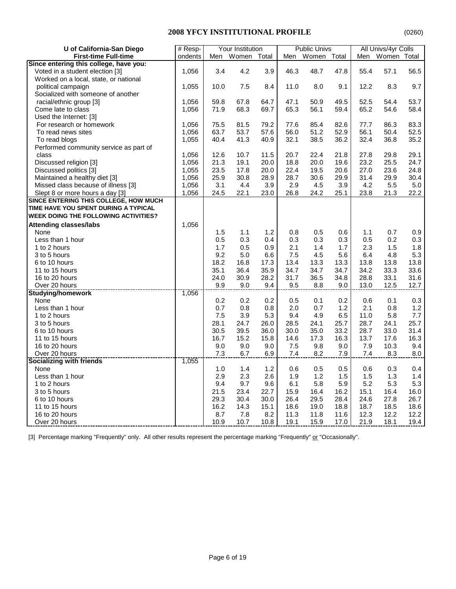| U of California-San Diego                   | # Resp- |      | Your Institution |       |      | <b>Public Univs</b> |       |      | All Univs/4yr Colls |         |
|---------------------------------------------|---------|------|------------------|-------|------|---------------------|-------|------|---------------------|---------|
| <b>First-time Full-time</b>                 | ondents | Men  | Women            | Total | Men  | Women               | Total | Men  | Women Total         |         |
| Since entering this college, have you:      |         |      |                  |       |      |                     |       |      |                     |         |
| Voted in a student election [3]             | 1,056   | 3.4  | 4.2              | 3.9   | 46.3 | 48.7                | 47.8  | 55.4 | 57.1                | 56.5    |
| Worked on a local, state, or national       |         |      |                  |       |      |                     |       |      |                     |         |
| political campaign                          | 1,055   | 10.0 | 7.5              | 8.4   | 11.0 | 8.0                 | 9.1   | 12.2 | 8.3                 | 9.7     |
| Socialized with someone of another          |         |      |                  |       |      |                     |       |      |                     |         |
| racial/ethnic group [3]                     | 1,056   | 59.8 | 67.8             | 64.7  | 47.1 | 50.9                | 49.5  | 52.5 | 54.4                | 53.7    |
| Come late to class                          | 1,056   | 71.9 | 68.3             | 69.7  | 65.3 | 56.1                | 59.4  | 65.2 | 54.6                | 58.4    |
| Used the Internet: [3]                      |         |      |                  |       |      |                     |       |      |                     |         |
| For research or homework                    | 1,056   | 75.5 | 81.5             | 79.2  | 77.6 | 85.4                | 82.6  | 77.7 | 86.3                | 83.3    |
| To read news sites                          | 1,056   | 63.7 | 53.7             | 57.6  | 56.0 | 51.2                | 52.9  | 56.1 | 50.4                | 52.5    |
| To read blogs                               | 1,055   | 40.4 | 41.3             | 40.9  | 32.1 | 38.5                | 36.2  | 32.4 | 36.8                | 35.2    |
| Performed community service as part of      |         |      |                  |       |      |                     |       |      |                     |         |
| class                                       | 1,056   | 12.6 | 10.7             | 11.5  | 20.7 | 22.4                | 21.8  | 27.8 | 29.8                | 29.1    |
| Discussed religion [3]                      | 1,056   | 21.3 | 19.1             | 20.0  | 18.8 | 20.0                | 19.6  | 23.2 | 25.5                | 24.7    |
| Discussed politics [3]                      | 1,055   | 23.5 | 17.8             | 20.0  | 22.4 | 19.5                | 20.6  | 27.0 | 23.6                | 24.8    |
| Maintained a healthy diet [3]               | 1,056   | 25.9 | 30.8             | 28.9  | 28.7 | 30.6                | 29.9  | 31.4 | 29.9                | 30.4    |
| Missed class because of illness [3]         | 1,056   | 3.1  | 4.4              | 3.9   | 2.9  | 4.5                 | 3.9   | 4.2  | 5.5                 | $5.0\,$ |
| Slept 8 or more hours a day [3]             | 1,056   | 24.5 | 22.1             | 23.0  | 26.8 | 24.2                | 25.1  | 23.8 | 21.3                | 22.2    |
| SINCE ENTERING THIS COLLEGE, HOW MUCH       |         |      |                  |       |      |                     |       |      |                     |         |
| TIME HAVE YOU SPENT DURING A TYPICAL        |         |      |                  |       |      |                     |       |      |                     |         |
| <b>WEEK DOING THE FOLLOWING ACTIVITIES?</b> |         |      |                  |       |      |                     |       |      |                     |         |
| <b>Attending classes/labs</b>               | 1,056   |      |                  |       |      |                     |       |      |                     |         |
| None                                        |         | 1.5  | 1.1              | 1.2   | 0.8  | 0.5                 | 0.6   | 1.1  | 0.7                 | 0.9     |
| Less than 1 hour                            |         | 0.5  | 0.3              | 0.4   | 0.3  | 0.3                 | 0.3   | 0.5  | 0.2                 | 0.3     |
| 1 to 2 hours                                |         | 1.7  | 0.5              | 0.9   | 2.1  | 1.4                 | 1.7   | 2.3  | 1.5                 | 1.8     |
| 3 to 5 hours                                |         | 9.2  | 5.0              | 6.6   | 7.5  | 4.5                 | 5.6   | 6.4  | 4.8                 | 5.3     |
| 6 to 10 hours                               |         | 18.2 | 16.8             | 17.3  | 13.4 | 13.3                | 13.3  | 13.8 | 13.8                | 13.8    |
| 11 to 15 hours                              |         | 35.1 | 36.4             | 35.9  | 34.7 | 34.7                | 34.7  | 34.2 | 33.3                | 33.6    |
| 16 to 20 hours                              |         | 24.0 | 30.9             | 28.2  | 31.7 | 36.5                | 34.8  | 28.8 | 33.1                | 31.6    |
| Over 20 hours                               |         | 9.9  | $9.0\,$          | 9.4   | 9.5  | $8.8\,$             | 9.0   | 13.0 | 12.5                | 12.7    |
| <b>Studying/homework</b>                    | 1,056   |      |                  |       |      |                     |       |      |                     |         |
| None                                        |         | 0.2  | 0.2              | 0.2   | 0.5  | 0.1                 | 0.2   | 0.6  | 0.1                 | 0.3     |
| Less than 1 hour                            |         | 0.7  | 0.8              | 0.8   | 2.0  | 0.7                 | 1.2   | 2.1  | 0.8                 | 1.2     |
| 1 to 2 hours                                |         | 7.5  | 3.9              | 5.3   | 9.4  | 4.9                 | 6.5   | 11.0 | 5.8                 | 7.7     |
| 3 to 5 hours                                |         | 28.1 | 24.7             | 26.0  | 28.5 | 24.1                | 25.7  | 28.7 | 24.1                | 25.7    |
| 6 to 10 hours                               |         | 30.5 | 39.5             | 36.0  | 30.0 | 35.0                | 33.2  | 28.7 | 33.0                | 31.4    |
| 11 to 15 hours                              |         | 16.7 | 15.2             | 15.8  | 14.6 | 17.3                | 16.3  | 13.7 | 17.6                | 16.3    |
| 16 to 20 hours                              |         | 9.0  | 9.0              | 9.0   | 7.5  | 9.8                 | 9.0   | 7.9  | 10.3                | 9.4     |
| Over 20 hours                               |         | 7.3  | 6.7              | 6.9   | 7.4  | 8.2                 | 7.9   | 7.4  | 8.3                 | $8.0\,$ |
| Socializing with friends                    | 1,055   |      |                  |       |      |                     |       |      |                     |         |
| None                                        |         | 1.0  | 1.4              | 1.2   | 0.6  | 0.5                 | 0.5   | 0.6  | 0.3                 | 0.4     |
| Less than 1 hour                            |         | 2.9  | 2.3              | 2.6   | 1.9  | 1.2                 | 1.5   | 1.5  | 1.3                 | 1.4     |
| 1 to 2 hours                                |         | 9.4  | 9.7              | 9.6   | 6.1  | 5.8                 | 5.9   | 5.2  | 5.3                 | 5.3     |
| 3 to 5 hours                                |         | 21.5 | 23.4             | 22.7  | 15.9 | 16.4                | 16.2  | 15.1 | 16.4                | 16.0    |
| 6 to 10 hours                               |         | 29.3 | 30.4             | 30.0  | 26.4 | 29.5                | 28.4  | 24.6 | 27.8                | 26.7    |
| 11 to 15 hours                              |         | 16.2 | 14.3             | 15.1  | 18.6 | 19.0                | 18.8  | 18.7 | 18.5                | 18.6    |
| 16 to 20 hours                              |         | 8.7  | 7.8              | 8.2   | 11.3 | 11.8                | 11.6  | 12.3 | 12.2                | 12.2    |
| Over 20 hours                               |         | 10.9 | 10.7             | 10.8  | 19.1 | 15.9                | 17.0  | 21.9 | 18.1                | 19.4    |

[3] Percentage marking "Frequently" only. All other results represent the percentage marking "Frequently" or "Occasionally".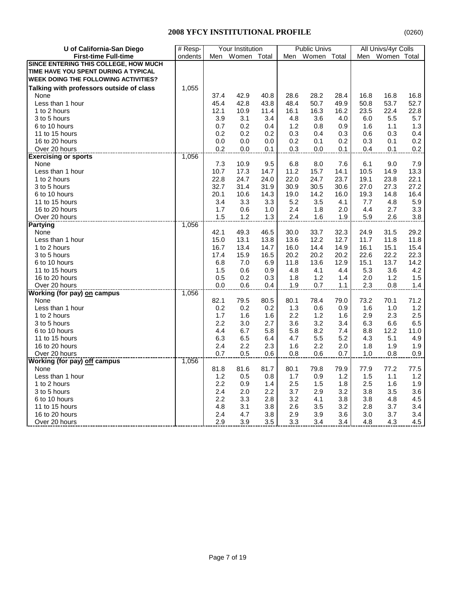| U of California-San Diego                   | # Resp- |      | Your Institution |       |            | <b>Public Univs</b> |       |      | All Univs/4yr Colls |              |
|---------------------------------------------|---------|------|------------------|-------|------------|---------------------|-------|------|---------------------|--------------|
| <b>First-time Full-time</b>                 | ondents | Men  | Women            | Total | Men        | Women               | Total | Men  | Women Total         |              |
| SINCE ENTERING THIS COLLEGE, HOW MUCH       |         |      |                  |       |            |                     |       |      |                     |              |
| TIME HAVE YOU SPENT DURING A TYPICAL        |         |      |                  |       |            |                     |       |      |                     |              |
| <b>WEEK DOING THE FOLLOWING ACTIVITIES?</b> |         |      |                  |       |            |                     |       |      |                     |              |
| Talking with professors outside of class    | 1,055   |      |                  |       |            |                     |       |      |                     |              |
| None                                        |         | 37.4 | 42.9             | 40.8  | 28.6       | 28.2                | 28.4  | 16.8 | 16.8                | 16.8         |
| Less than 1 hour                            |         | 45.4 | 42.8             | 43.8  | 48.4       | 50.7                | 49.9  | 50.8 | 53.7                | 52.7         |
| 1 to 2 hours                                |         | 12.1 | 10.9             | 11.4  | 16.1       | 16.3                | 16.2  | 23.5 | 22.4                | 22.8         |
| 3 to 5 hours                                |         | 3.9  | 3.1              | 3.4   | 4.8        | 3.6                 | 4.0   | 6.0  | 5.5                 | 5.7          |
| 6 to 10 hours                               |         | 0.7  | 0.2              | 0.4   | 1.2        | 0.8                 | 0.9   | 1.6  | 1.1                 | 1.3          |
| 11 to 15 hours                              |         | 0.2  | 0.2              | 0.2   | 0.3        | 0.4                 | 0.3   | 0.6  | 0.3                 | 0.4          |
| 16 to 20 hours                              |         | 0.0  | 0.0              | 0.0   | 0.2        | 0.1                 | 0.2   | 0.3  | 0.1                 | 0.2          |
| Over 20 hours                               |         | 0.2  | 0.0              | 0.1   | 0.3        | 0.0                 | 0.1   | 0.4  | 0.1                 | 0.2          |
| <b>Exercising or sports</b>                 | 1,056   |      |                  |       |            |                     |       |      |                     |              |
| None                                        |         | 7.3  | 10.9             | 9.5   | 6.8        | 8.0                 | 7.6   | 6.1  | 9.0                 | 7.9          |
| Less than 1 hour                            |         | 10.7 | 17.3             | 14.7  | 11.2       | 15.7                | 14.1  | 10.5 | 14.9                | 13.3         |
| 1 to 2 hours                                |         | 22.8 | 24.7             | 24.0  | 22.0       | 24.7                | 23.7  | 19.1 | 23.8                | 22.1         |
| 3 to 5 hours                                |         | 32.7 | 31.4             | 31.9  | 30.9       | 30.5                | 30.6  | 27.0 | 27.3                | 27.2         |
| 6 to 10 hours                               |         | 20.1 | 10.6             | 14.3  | 19.0       | 14.2                | 16.0  | 19.3 | 14.8                | 16.4         |
| 11 to 15 hours                              |         | 3.4  | 3.3              | 3.3   | 5.2        | 3.5                 | 4.1   | 7.7  | 4.8                 | 5.9          |
| 16 to 20 hours                              |         | 1.7  | 0.6              | 1.0   |            | 1.8                 | 2.0   | 4.4  | 2.7                 | 3.3          |
| Over 20 hours                               |         | 1.5  | 1.2              | 1.3   | 2.4<br>2.4 | 1.6                 | 1.9   | 5.9  | 2.6                 | 3.8          |
|                                             | 1,056   |      |                  |       |            |                     |       |      |                     |              |
| <b>Partying</b><br>None                     |         | 42.1 | 49.3             | 46.5  | 30.0       | 33.7                | 32.3  | 24.9 | 31.5                | 29.2         |
| Less than 1 hour                            |         |      |                  |       |            | 12.2                | 12.7  |      |                     |              |
|                                             |         | 15.0 | 13.1             | 13.8  | 13.6       |                     |       | 11.7 | 11.8                | 11.8         |
| 1 to 2 hours                                |         | 16.7 | 13.4             | 14.7  | 16.0       | 14.4                | 14.9  | 16.1 | 15.1<br>22.2        | 15.4         |
| 3 to 5 hours                                |         | 17.4 | 15.9             | 16.5  | 20.2       | 20.2                | 20.2  | 22.6 |                     | 22.3<br>14.2 |
| 6 to 10 hours                               |         | 6.8  | 7.0              | 6.9   | 11.8       | 13.6                | 12.9  | 15.1 | 13.7                |              |
| 11 to 15 hours                              |         | 1.5  | 0.6              | 0.9   | 4.8        | 4.1                 | 4.4   | 5.3  | 3.6                 | 4.2          |
| 16 to 20 hours                              |         | 0.5  | 0.2              | 0.3   | 1.8        | 1.2                 | 1.4   | 2.0  | 1.2                 | 1.5          |
| Over 20 hours                               |         | 0.0  | 0.6              | 0.4   | 1.9        | 0.7                 | 1.1   | 2.3  | 0.8                 | $1.4$        |
| <b>Working (for pay) on campus</b>          | 1,056   |      |                  |       |            |                     |       |      |                     |              |
| None                                        |         | 82.1 | 79.5             | 80.5  | 80.1       | 78.4                | 79.0  | 73.2 | 70.1                | 71.2         |
| Less than 1 hour                            |         | 0.2  | 0.2              | 0.2   | 1.3        | 0.6                 | 0.9   | 1.6  | 1.0                 | 1.2          |
| 1 to 2 hours                                |         | 1.7  | 1.6              | 1.6   | 2.2        | 1.2                 | 1.6   | 2.9  | 2.3                 | $2.5\,$      |
| 3 to 5 hours                                |         | 2.2  | 3.0              | 2.7   | 3.6        | 3.2                 | 3.4   | 6.3  | 6.6                 | 6.5          |
| 6 to 10 hours                               |         | 4.4  | 6.7              | 5.8   | 5.8        | 8.2                 | 7.4   | 8.8  | 12.2                | 11.0         |
| 11 to 15 hours                              |         | 6.3  | 6.5              | 6.4   | 4.7        | 5.5                 | 5.2   | 4.3  | 5.1                 | 4.9          |
| 16 to 20 hours                              |         | 2.4  | 2.2              | 2.3   | 1.6        | 2.2                 | 2.0   | 1.8  | 1.9                 | 1.9          |
| Over 20 hours                               |         | 0.7  | 0.5              | 0.6   | 0.8        | 0.6                 | 0.7   | 1.0  | 0.8                 | 0.9          |
| <b>Working (for pay) off campus</b>         | 1,056   |      |                  |       |            |                     |       |      |                     |              |
| None                                        |         | 81.8 | 81.6             | 81.7  | 80.1       | 79.8                | 79.9  | 77.9 | 77.2                | 77.5         |
| Less than 1 hour                            |         | 1.2  | 0.5              | 0.8   | 1.7        | 0.9                 | 1.2   | 1.5  | 1.1                 | 1.2          |
| 1 to 2 hours                                |         | 2.2  | 0.9              | 1.4   | 2.5        | 1.5                 | 1.8   | 2.5  | 1.6                 | 1.9          |
| 3 to 5 hours                                |         | 2.4  | 2.0              | 2.2   | 3.7        | 2.9                 | 3.2   | 3.8  | 3.5                 | 3.6          |
| 6 to 10 hours                               |         | 2.2  | 3.3              | 2.8   | 3.2        | 4.1                 | 3.8   | 3.8  | 4.8                 | 4.5          |
| 11 to 15 hours                              |         | 4.8  | 3.1              | 3.8   | 2.6        | 3.5                 | 3.2   | 2.8  | 3.7                 | 3.4          |
| 16 to 20 hours                              |         | 2.4  | 4.7              | 3.8   | 2.9        | 3.9                 | 3.6   | 3.0  | 3.7                 | 3.4          |
| Over 20 hours                               |         | 2.9  | 3.9              | 3.5   | 3.3        | 3.4                 | 3.4   | 4.8  | 4.3                 | 4.5          |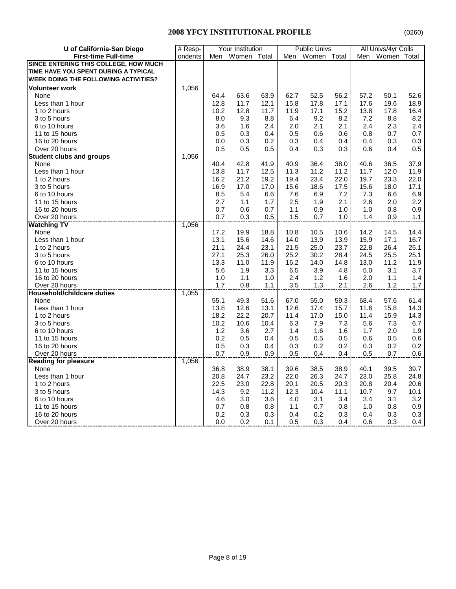| <b>First-time Full-time</b><br>ondents<br>Women<br>Women<br>Women Total<br>Men<br>Total<br>Total<br>Men<br>SINCE ENTERING THIS COLLEGE, HOW MUCH<br>TIME HAVE YOU SPENT DURING A TYPICAL<br><b>WEEK DOING THE FOLLOWING ACTIVITIES?</b><br><b>Volunteer work</b><br>1,056<br>63.9<br>62.7<br>52.5<br>52.6<br>None<br>64.4<br>63.6<br>56.2<br>57.2<br>50.1<br>12.8<br>11.7<br>12.1<br>15.8<br>17.8<br>17.1<br>17.6<br>19.6<br>18.9<br>Less than 1 hour<br>11.7<br>1 to 2 hours<br>10.2<br>12.8<br>11.9<br>17.1<br>15.2<br>13.8<br>17.8<br>16.4<br>9.2<br>8.2<br>8.2<br>3 to 5 hours<br>8.0<br>9.3<br>8.8<br>6.4<br>7.2<br>8.8<br>6 to 10 hours<br>1.6<br>2.4<br>2.1<br>2.4<br>2.3<br>2.4<br>3.6<br>2.0<br>2.1<br>11 to 15 hours<br>0.3<br>0.7<br>0.7<br>0.5<br>0.4<br>0.5<br>0.6<br>0.6<br>0.8<br>16 to 20 hours<br>0.3<br>0.2<br>0.4<br>0.4<br>0.3<br>0.3<br>0.0<br>0.3<br>0.4<br>Over 20 hours<br>0.5<br>0.5<br>0.5<br>0.4<br>0.3<br>0.3<br>0.6<br>0.4<br>0.5<br>1,056<br><b>Student clubs and groups</b><br>40.4<br>42.8<br>41.9<br>40.9<br>36.4<br>38.0<br>40.6<br>36.5<br>37.9<br>None<br>Less than 1 hour<br>12.5<br>11.2<br>12.0<br>13.8<br>11.7<br>11.3<br>11.2<br>11.7<br>11.9 | U of California-San Diego | # Resp- |      | Your Institution |      |      | <b>Public Univs</b> |      |      | All Univs/4yr Colls |         |
|----------------------------------------------------------------------------------------------------------------------------------------------------------------------------------------------------------------------------------------------------------------------------------------------------------------------------------------------------------------------------------------------------------------------------------------------------------------------------------------------------------------------------------------------------------------------------------------------------------------------------------------------------------------------------------------------------------------------------------------------------------------------------------------------------------------------------------------------------------------------------------------------------------------------------------------------------------------------------------------------------------------------------------------------------------------------------------------------------------------------------------------------------------------------------------------|---------------------------|---------|------|------------------|------|------|---------------------|------|------|---------------------|---------|
|                                                                                                                                                                                                                                                                                                                                                                                                                                                                                                                                                                                                                                                                                                                                                                                                                                                                                                                                                                                                                                                                                                                                                                                        |                           |         |      |                  |      | Men  |                     |      |      |                     |         |
|                                                                                                                                                                                                                                                                                                                                                                                                                                                                                                                                                                                                                                                                                                                                                                                                                                                                                                                                                                                                                                                                                                                                                                                        |                           |         |      |                  |      |      |                     |      |      |                     |         |
|                                                                                                                                                                                                                                                                                                                                                                                                                                                                                                                                                                                                                                                                                                                                                                                                                                                                                                                                                                                                                                                                                                                                                                                        |                           |         |      |                  |      |      |                     |      |      |                     |         |
|                                                                                                                                                                                                                                                                                                                                                                                                                                                                                                                                                                                                                                                                                                                                                                                                                                                                                                                                                                                                                                                                                                                                                                                        |                           |         |      |                  |      |      |                     |      |      |                     |         |
|                                                                                                                                                                                                                                                                                                                                                                                                                                                                                                                                                                                                                                                                                                                                                                                                                                                                                                                                                                                                                                                                                                                                                                                        |                           |         |      |                  |      |      |                     |      |      |                     |         |
|                                                                                                                                                                                                                                                                                                                                                                                                                                                                                                                                                                                                                                                                                                                                                                                                                                                                                                                                                                                                                                                                                                                                                                                        |                           |         |      |                  |      |      |                     |      |      |                     |         |
|                                                                                                                                                                                                                                                                                                                                                                                                                                                                                                                                                                                                                                                                                                                                                                                                                                                                                                                                                                                                                                                                                                                                                                                        |                           |         |      |                  |      |      |                     |      |      |                     |         |
|                                                                                                                                                                                                                                                                                                                                                                                                                                                                                                                                                                                                                                                                                                                                                                                                                                                                                                                                                                                                                                                                                                                                                                                        |                           |         |      |                  |      |      |                     |      |      |                     |         |
|                                                                                                                                                                                                                                                                                                                                                                                                                                                                                                                                                                                                                                                                                                                                                                                                                                                                                                                                                                                                                                                                                                                                                                                        |                           |         |      |                  |      |      |                     |      |      |                     |         |
|                                                                                                                                                                                                                                                                                                                                                                                                                                                                                                                                                                                                                                                                                                                                                                                                                                                                                                                                                                                                                                                                                                                                                                                        |                           |         |      |                  |      |      |                     |      |      |                     |         |
|                                                                                                                                                                                                                                                                                                                                                                                                                                                                                                                                                                                                                                                                                                                                                                                                                                                                                                                                                                                                                                                                                                                                                                                        |                           |         |      |                  |      |      |                     |      |      |                     |         |
|                                                                                                                                                                                                                                                                                                                                                                                                                                                                                                                                                                                                                                                                                                                                                                                                                                                                                                                                                                                                                                                                                                                                                                                        |                           |         |      |                  |      |      |                     |      |      |                     |         |
|                                                                                                                                                                                                                                                                                                                                                                                                                                                                                                                                                                                                                                                                                                                                                                                                                                                                                                                                                                                                                                                                                                                                                                                        |                           |         |      |                  |      |      |                     |      |      |                     |         |
|                                                                                                                                                                                                                                                                                                                                                                                                                                                                                                                                                                                                                                                                                                                                                                                                                                                                                                                                                                                                                                                                                                                                                                                        |                           |         |      |                  |      |      |                     |      |      |                     |         |
|                                                                                                                                                                                                                                                                                                                                                                                                                                                                                                                                                                                                                                                                                                                                                                                                                                                                                                                                                                                                                                                                                                                                                                                        |                           |         |      |                  |      |      |                     |      |      |                     |         |
|                                                                                                                                                                                                                                                                                                                                                                                                                                                                                                                                                                                                                                                                                                                                                                                                                                                                                                                                                                                                                                                                                                                                                                                        |                           |         |      |                  |      |      |                     |      |      |                     |         |
|                                                                                                                                                                                                                                                                                                                                                                                                                                                                                                                                                                                                                                                                                                                                                                                                                                                                                                                                                                                                                                                                                                                                                                                        | 1 to 2 hours              |         | 16.2 | 21.2             | 19.2 | 19.4 | 23.4                | 22.0 | 19.7 | 23.3                | 22.0    |
| 17.5<br>16.9<br>17.0<br>17.0<br>15.6<br>18.6<br>15.6<br>18.0<br>3 to 5 hours                                                                                                                                                                                                                                                                                                                                                                                                                                                                                                                                                                                                                                                                                                                                                                                                                                                                                                                                                                                                                                                                                                           |                           |         |      |                  |      |      |                     |      |      |                     | 17.1    |
| 6 to 10 hours<br>8.5<br>5.4<br>6.6<br>7.6<br>6.9<br>7.2<br>7.3<br>6.6                                                                                                                                                                                                                                                                                                                                                                                                                                                                                                                                                                                                                                                                                                                                                                                                                                                                                                                                                                                                                                                                                                                  |                           |         |      |                  |      |      |                     |      |      |                     | 6.9     |
| 11 to 15 hours<br>2.7<br>1.1<br>1.7<br>2.5<br>1.9<br>2.1<br>2.6<br>2.0                                                                                                                                                                                                                                                                                                                                                                                                                                                                                                                                                                                                                                                                                                                                                                                                                                                                                                                                                                                                                                                                                                                 |                           |         |      |                  |      |      |                     |      |      |                     | 2.2     |
| 0.7<br>16 to 20 hours<br>0.6<br>0.7<br>1.1<br>0.9<br>1.0<br>1.0<br>0.8                                                                                                                                                                                                                                                                                                                                                                                                                                                                                                                                                                                                                                                                                                                                                                                                                                                                                                                                                                                                                                                                                                                 |                           |         |      |                  |      |      |                     |      |      |                     | 0.9     |
| 0.3<br>1.5<br>1.0<br>0.7<br>0.5<br>0.7<br>1.4<br>0.9<br>Over 20 hours                                                                                                                                                                                                                                                                                                                                                                                                                                                                                                                                                                                                                                                                                                                                                                                                                                                                                                                                                                                                                                                                                                                  |                           |         |      |                  |      |      |                     |      |      |                     | 1.1     |
| 1,056<br><b>Watching TV</b>                                                                                                                                                                                                                                                                                                                                                                                                                                                                                                                                                                                                                                                                                                                                                                                                                                                                                                                                                                                                                                                                                                                                                            |                           |         |      |                  |      |      |                     |      |      |                     |         |
| 17.2<br>19.9<br>18.8<br>10.8<br>10.5<br>10.6<br>14.2<br>14.5<br>None                                                                                                                                                                                                                                                                                                                                                                                                                                                                                                                                                                                                                                                                                                                                                                                                                                                                                                                                                                                                                                                                                                                   |                           |         |      |                  |      |      |                     |      |      |                     | 14.4    |
| 13.1<br>15.6<br>14.6<br>13.9<br>17.1<br>Less than 1 hour<br>14.0<br>13.9<br>15.9                                                                                                                                                                                                                                                                                                                                                                                                                                                                                                                                                                                                                                                                                                                                                                                                                                                                                                                                                                                                                                                                                                       |                           |         |      |                  |      |      |                     |      |      |                     | 16.7    |
| 21.1<br>24.4<br>23.1<br>21.5<br>25.0<br>23.7<br>22.8<br>26.4<br>1 to 2 hours                                                                                                                                                                                                                                                                                                                                                                                                                                                                                                                                                                                                                                                                                                                                                                                                                                                                                                                                                                                                                                                                                                           |                           |         |      |                  |      |      |                     |      |      |                     | 25.1    |
| 26.0<br>30.2<br>25.5<br>27.1<br>25.3<br>25.2<br>28.4<br>24.5<br>3 to 5 hours                                                                                                                                                                                                                                                                                                                                                                                                                                                                                                                                                                                                                                                                                                                                                                                                                                                                                                                                                                                                                                                                                                           |                           |         |      |                  |      |      |                     |      |      |                     | 25.1    |
| 13.3<br>16.2<br>14.8<br>6 to 10 hours<br>11.0<br>11.9<br>14.0<br>13.0<br>11.2                                                                                                                                                                                                                                                                                                                                                                                                                                                                                                                                                                                                                                                                                                                                                                                                                                                                                                                                                                                                                                                                                                          |                           |         |      |                  |      |      |                     |      |      |                     | 11.9    |
| 11 to 15 hours<br>5.6<br>1.9<br>3.3<br>3.9<br>5.0<br>3.1<br>6.5<br>4.8                                                                                                                                                                                                                                                                                                                                                                                                                                                                                                                                                                                                                                                                                                                                                                                                                                                                                                                                                                                                                                                                                                                 |                           |         |      |                  |      |      |                     |      |      |                     | 3.7     |
| 16 to 20 hours<br>1.0<br>1.1<br>1.0<br>2.4<br>1.2<br>2.0<br>1.1<br>1.6                                                                                                                                                                                                                                                                                                                                                                                                                                                                                                                                                                                                                                                                                                                                                                                                                                                                                                                                                                                                                                                                                                                 |                           |         |      |                  |      |      |                     |      |      |                     | 1.4     |
| Over 20 hours<br>1.7<br>0.8<br>3.5<br>1.3<br>2.1<br>2.6<br>1.2<br>1.1                                                                                                                                                                                                                                                                                                                                                                                                                                                                                                                                                                                                                                                                                                                                                                                                                                                                                                                                                                                                                                                                                                                  |                           |         |      |                  |      |      |                     |      |      |                     | 1.7     |
| 1,055<br><b>Household/childcare duties</b>                                                                                                                                                                                                                                                                                                                                                                                                                                                                                                                                                                                                                                                                                                                                                                                                                                                                                                                                                                                                                                                                                                                                             |                           |         |      |                  |      |      |                     |      |      |                     |         |
| 55.1<br>51.6<br>55.0<br>59.3<br>57.6<br>None<br>49.3<br>67.0<br>68.4                                                                                                                                                                                                                                                                                                                                                                                                                                                                                                                                                                                                                                                                                                                                                                                                                                                                                                                                                                                                                                                                                                                   |                           |         |      |                  |      |      |                     |      |      |                     | 61.4    |
| Less than 1 hour<br>13.8<br>13.1<br>17.4<br>15.7<br>15.8<br>12.6<br>12.6<br>11.6                                                                                                                                                                                                                                                                                                                                                                                                                                                                                                                                                                                                                                                                                                                                                                                                                                                                                                                                                                                                                                                                                                       |                           |         |      |                  |      |      |                     |      |      |                     | 14.3    |
| 22.2<br>20.7<br>17.0<br>15.9<br>1 to 2 hours<br>18.2<br>11.4<br>15.0<br>11.4                                                                                                                                                                                                                                                                                                                                                                                                                                                                                                                                                                                                                                                                                                                                                                                                                                                                                                                                                                                                                                                                                                           |                           |         |      |                  |      |      |                     |      |      |                     | 14.3    |
| 3 to 5 hours<br>10.2<br>10.6<br>10.4<br>6.3<br>7.9<br>5.6<br>7.3<br>7.3                                                                                                                                                                                                                                                                                                                                                                                                                                                                                                                                                                                                                                                                                                                                                                                                                                                                                                                                                                                                                                                                                                                |                           |         |      |                  |      |      |                     |      |      |                     | 6.7     |
| 6 to 10 hours<br>1.2<br>3.6<br>2.7<br>1.6<br>1.7<br>2.0<br>1.4<br>1.6                                                                                                                                                                                                                                                                                                                                                                                                                                                                                                                                                                                                                                                                                                                                                                                                                                                                                                                                                                                                                                                                                                                  |                           |         |      |                  |      |      |                     |      |      |                     | 1.9     |
| 0.2<br>11 to 15 hours<br>0.5<br>0.4<br>0.5<br>0.5<br>0.5<br>0.6<br>0.5                                                                                                                                                                                                                                                                                                                                                                                                                                                                                                                                                                                                                                                                                                                                                                                                                                                                                                                                                                                                                                                                                                                 |                           |         |      |                  |      |      |                     |      |      |                     | 0.6     |
| 16 to 20 hours<br>0.5<br>0.3<br>0.4<br>0.3<br>0.2<br>0.2<br>0.3<br>0.2                                                                                                                                                                                                                                                                                                                                                                                                                                                                                                                                                                                                                                                                                                                                                                                                                                                                                                                                                                                                                                                                                                                 |                           |         |      |                  |      |      |                     |      |      |                     | 0.2     |
| 0.7<br>0.9<br>0.9<br>0.7<br>Over 20 hours<br>0.5<br>0.4<br>0.4<br>0.5                                                                                                                                                                                                                                                                                                                                                                                                                                                                                                                                                                                                                                                                                                                                                                                                                                                                                                                                                                                                                                                                                                                  |                           |         |      |                  |      |      |                     |      |      |                     | $0.6\,$ |
| 1,056<br><b>Reading for pleasure</b>                                                                                                                                                                                                                                                                                                                                                                                                                                                                                                                                                                                                                                                                                                                                                                                                                                                                                                                                                                                                                                                                                                                                                   |                           |         |      |                  |      |      |                     |      |      |                     |         |
| 38.5<br>36.8<br>38.9<br>38.1<br>39.6<br>38.9<br>40.1<br>39.5<br>None                                                                                                                                                                                                                                                                                                                                                                                                                                                                                                                                                                                                                                                                                                                                                                                                                                                                                                                                                                                                                                                                                                                   |                           |         |      |                  |      |      |                     |      |      |                     | 39.7    |
| 23.2<br>Less than 1 hour<br>20.8<br>22.0<br>26.3<br>24.7<br>23.0<br>25.8<br>24.7                                                                                                                                                                                                                                                                                                                                                                                                                                                                                                                                                                                                                                                                                                                                                                                                                                                                                                                                                                                                                                                                                                       |                           |         |      |                  |      |      |                     |      |      |                     | 24.8    |
| 1 to 2 hours<br>22.5<br>23.0<br>22.8<br>20.1<br>20.5<br>20.3<br>20.8<br>20.4                                                                                                                                                                                                                                                                                                                                                                                                                                                                                                                                                                                                                                                                                                                                                                                                                                                                                                                                                                                                                                                                                                           |                           |         |      |                  |      |      |                     |      |      |                     | 20.6    |
| 11.2<br>3 to 5 hours<br>14.3<br>9.2<br>12.3<br>10.4<br>11.1<br>10.7<br>9.7                                                                                                                                                                                                                                                                                                                                                                                                                                                                                                                                                                                                                                                                                                                                                                                                                                                                                                                                                                                                                                                                                                             |                           |         |      |                  |      |      |                     |      |      |                     | 10.1    |
| 3.0<br>3.6<br>4.0<br>3.1<br>3.4<br>3.1<br>6 to 10 hours<br>4.6<br>3.4                                                                                                                                                                                                                                                                                                                                                                                                                                                                                                                                                                                                                                                                                                                                                                                                                                                                                                                                                                                                                                                                                                                  |                           |         |      |                  |      |      |                     |      |      |                     | 3.2     |
| 11 to 15 hours<br>0.7<br>0.8<br>0.8<br>1.1<br>0.7<br>0.8<br>1.0<br>0.8                                                                                                                                                                                                                                                                                                                                                                                                                                                                                                                                                                                                                                                                                                                                                                                                                                                                                                                                                                                                                                                                                                                 |                           |         |      |                  |      |      |                     |      |      |                     | 0.9     |
| 0.3<br>0.2<br>16 to 20 hours<br>0.2<br>0.3<br>0.3<br>0.3<br>0.4<br>0.4                                                                                                                                                                                                                                                                                                                                                                                                                                                                                                                                                                                                                                                                                                                                                                                                                                                                                                                                                                                                                                                                                                                 |                           |         |      |                  |      |      |                     |      |      |                     | 0.3     |
| 0.0<br>0.2<br>0.5<br>0.3<br>0.4<br>0.6<br>0.3<br>Over 20 hours<br>0.1                                                                                                                                                                                                                                                                                                                                                                                                                                                                                                                                                                                                                                                                                                                                                                                                                                                                                                                                                                                                                                                                                                                  |                           |         |      |                  |      |      |                     |      |      |                     | 0.4     |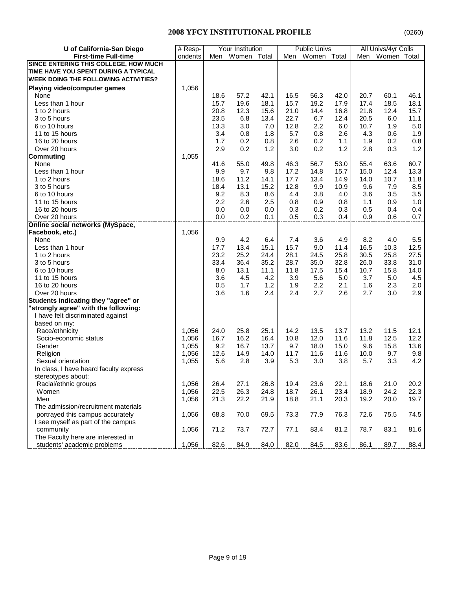| U of California-San Diego                            | $#$ Resp- |      | Your Institution |      |      | <b>Public Univs</b> |      |      | All Univs/4yr Colls |            |
|------------------------------------------------------|-----------|------|------------------|------|------|---------------------|------|------|---------------------|------------|
| <b>First-time Full-time</b>                          | ondents   | Men  | Women Total      |      | Men  | Women Total         |      | Men  | Women Total         |            |
| SINCE ENTERING THIS COLLEGE, HOW MUCH                |           |      |                  |      |      |                     |      |      |                     |            |
| TIME HAVE YOU SPENT DURING A TYPICAL                 |           |      |                  |      |      |                     |      |      |                     |            |
| <b>WEEK DOING THE FOLLOWING ACTIVITIES?</b>          |           |      |                  |      |      |                     |      |      |                     |            |
| Playing video/computer games                         | 1,056     |      |                  |      |      |                     |      |      |                     |            |
| None                                                 |           | 18.6 | 57.2             | 42.1 | 16.5 | 56.3                | 42.0 | 20.7 | 60.1                | 46.1       |
| Less than 1 hour                                     |           | 15.7 | 19.6             | 18.1 | 15.7 | 19.2                | 17.9 | 17.4 | 18.5                | 18.1       |
| 1 to 2 hours                                         |           | 20.8 | 12.3             | 15.6 | 21.0 | 14.4                | 16.8 | 21.8 | 12.4                | 15.7       |
| 3 to 5 hours                                         |           | 23.5 | 6.8              | 13.4 | 22.7 | 6.7                 | 12.4 | 20.5 | 6.0                 | 11.1       |
| 6 to 10 hours                                        |           | 13.3 | 3.0              | 7.0  | 12.8 | 2.2                 | 6.0  | 10.7 | 1.9                 | $5.0\,$    |
| 11 to 15 hours                                       |           | 3.4  | 0.8              | 1.8  | 5.7  | 0.8                 | 2.6  | 4.3  | 0.6                 | 1.9        |
| 16 to 20 hours                                       |           | 1.7  | 0.2              | 0.8  | 2.6  | 0.2                 | 1.1  | 1.9  | 0.2                 | 0.8        |
| Over 20 hours                                        |           | 2.9  | 0.2              | 1.2  | 3.0  | 0.2                 | 1.2  | 2.8  | 0.3                 | $1.2$      |
| <b>Commuting</b>                                     | 1,055     |      |                  |      |      |                     |      |      |                     |            |
| None                                                 |           | 41.6 | 55.0             | 49.8 | 46.3 | 56.7                | 53.0 | 55.4 | 63.6                | 60.7       |
| Less than 1 hour                                     |           | 9.9  | 9.7              | 9.8  | 17.2 | 14.8                | 15.7 | 15.0 | 12.4                | 13.3       |
| 1 to 2 hours                                         |           | 18.6 | 11.2             | 14.1 | 17.7 | 13.4                | 14.9 | 14.0 | 10.7                | 11.8       |
| 3 to 5 hours                                         |           | 18.4 | 13.1             | 15.2 | 12.8 | 9.9                 | 10.9 | 9.6  | 7.9                 | 8.5        |
| 6 to 10 hours                                        |           | 9.2  | 8.3              | 8.6  | 4.4  | 3.8                 | 4.0  | 3.6  | 3.5                 | 3.5        |
| 11 to 15 hours                                       |           | 2.2  | 2.6              | 2.5  | 0.8  | 0.9                 | 0.8  | 1.1  | 0.9                 | 1.0        |
| 16 to 20 hours                                       |           | 0.0  | 0.0              | 0.0  | 0.3  | 0.2                 | 0.3  | 0.5  | 0.4                 | 0.4        |
| Over 20 hours                                        |           | 0.0  | 0.2              | 0.1  | 0.5  | 0.3                 | 0.4  | 0.9  | 0.6                 | 0.7        |
| <b>Online social networks (MySpace,</b>              |           |      |                  |      |      |                     |      |      |                     |            |
| Facebook, etc.)                                      | 1,056     |      |                  |      |      |                     |      |      |                     |            |
| None                                                 |           | 9.9  | 4.2              | 6.4  | 7.4  | 3.6                 | 4.9  | 8.2  | 4.0                 | 5.5        |
| Less than 1 hour                                     |           | 17.7 | 13.4             | 15.1 | 15.7 | 9.0                 | 11.4 | 16.5 | 10.3                | 12.5       |
| 1 to 2 hours                                         |           | 23.2 | 25.2             | 24.4 | 28.1 | 24.5                | 25.8 | 30.5 | 25.8                | 27.5       |
|                                                      |           |      |                  |      |      |                     |      |      |                     |            |
| 3 to 5 hours                                         |           | 33.4 | 36.4             | 35.2 | 28.7 | 35.0                | 32.8 | 26.0 | 33.8                | 31.0       |
| 6 to 10 hours                                        |           | 8.0  | 13.1             | 11.1 | 11.8 | 17.5                | 15.4 | 10.7 | 15.8                | 14.0       |
| 11 to 15 hours                                       |           | 3.6  | 4.5              | 4.2  | 3.9  | 5.6                 | 5.0  | 3.7  | 5.0                 | 4.5        |
| 16 to 20 hours                                       |           | 0.5  | 1.7              | 1.2  | 1.9  | 2.2                 | 2.1  | 1.6  | 2.3                 | 2.0<br>2.9 |
| Over 20 hours<br>Students indicating they "agree" or |           | 3.6  | 1.6              | 2.4  | 2.4  | 2.7                 | 2.6  | 2.7  | 3.0                 |            |
| "strongly agree" with the following:                 |           |      |                  |      |      |                     |      |      |                     |            |
| I have felt discriminated against                    |           |      |                  |      |      |                     |      |      |                     |            |
| based on my:                                         |           |      |                  |      |      |                     |      |      |                     |            |
| Race/ethnicity                                       | 1,056     | 24.0 | 25.8             | 25.1 | 14.2 | 13.5                | 13.7 | 13.2 | 11.5                | 12.1       |
| Socio-economic status                                | 1,056     | 16.7 | 16.2             | 16.4 | 10.8 | 12.0                | 11.6 | 11.8 | 12.5                | 12.2       |
| Gender                                               | 1,055     | 9.2  | 16.7             | 13.7 | 9.7  | 18.0                | 15.0 | 9.6  | 15.8                | 13.6       |
| Religion                                             | 1,056     | 12.6 | 14.9             | 14.0 | 11.7 | 11.6                | 11.6 | 10.0 | 9.7                 | 9.8        |
| Sexual orientation                                   | 1,055     | 5.6  | 2.8              | 3.9  | 5.3  | 3.0                 | 3.8  | 5.7  | 3.3                 | 4.2        |
| In class, I have heard faculty express               |           |      |                  |      |      |                     |      |      |                     |            |
|                                                      |           |      |                  |      |      |                     |      |      |                     |            |
| stereotypes about:<br>Racial/ethnic groups           | 1,056     | 26.4 | 27.1             | 26.8 | 19.4 | 23.6                | 22.1 | 18.6 | 21.0                | 20.2       |
| Women                                                | 1,056     | 22.5 | 26.3             | 24.8 | 18.7 | 26.1                | 23.4 | 18.9 | 24.2                | 22.3       |
| Men                                                  | 1,056     | 21.3 | 22.2             | 21.9 | 18.8 | 21.1                | 20.3 | 19.2 | 20.0                | 19.7       |
| The admission/recruitment materials                  |           |      |                  |      |      |                     |      |      |                     |            |
| portrayed this campus accurately                     | 1,056     | 68.8 | 70.0             | 69.5 | 73.3 | 77.9                | 76.3 | 72.6 | 75.5                | 74.5       |
| I see myself as part of the campus                   |           |      |                  |      |      |                     |      |      |                     |            |
| community                                            | 1,056     | 71.2 | 73.7             | 72.7 | 77.1 | 83.4                | 81.2 | 78.7 | 83.1                | 81.6       |
| The Faculty here are interested in                   |           |      |                  |      |      |                     |      |      |                     |            |
| students' academic problems                          | 1,056     | 82.6 | 84.9             | 84.0 |      | 84.5                | 83.6 | 86.1 | 89.7                |            |
|                                                      |           |      |                  |      | 82.0 |                     |      |      |                     | 88.4       |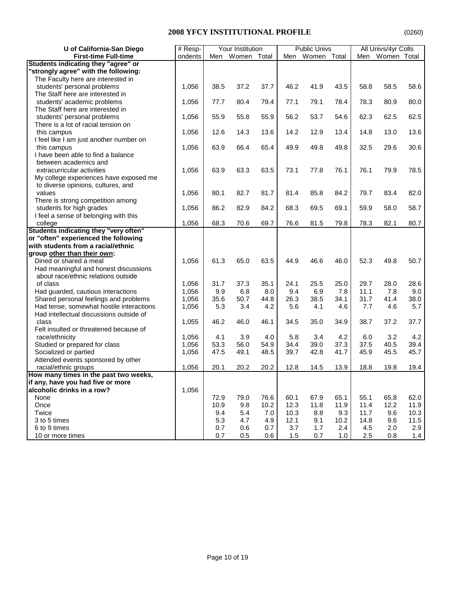| U of California-San Diego                | # Resp- |      | Your Institution |       |      | <b>Public Univs</b> |      |      | All Univs/4yr Colls |      |
|------------------------------------------|---------|------|------------------|-------|------|---------------------|------|------|---------------------|------|
| <b>First-time Full-time</b>              | ondents | Men  | Women            | Total | Men  | Women Total         |      | Men  | Women Total         |      |
| Students indicating they "agree" or      |         |      |                  |       |      |                     |      |      |                     |      |
| "strongly agree" with the following:     |         |      |                  |       |      |                     |      |      |                     |      |
| The Faculty here are interested in       |         |      |                  |       |      |                     |      |      |                     |      |
| students' personal problems              | 1,056   | 38.5 | 37.2             | 37.7  | 46.2 | 41.9                | 43.5 | 58.8 | 58.5                | 58.6 |
| The Staff here are interested in         |         |      |                  |       |      |                     |      |      |                     |      |
| students' academic problems              | 1,056   | 77.7 | 80.4             | 79.4  | 77.1 | 79.1                | 78.4 | 78.3 | 80.9                | 80.0 |
| The Staff here are interested in         |         |      |                  |       |      |                     |      |      |                     |      |
| students' personal problems              | 1,056   | 55.9 | 55.8             | 55.9  | 56.2 | 53.7                | 54.6 | 62.3 | 62.5                | 62.5 |
| There is a lot of racial tension on      |         |      |                  |       |      |                     |      |      |                     |      |
| this campus                              | 1,056   | 12.6 | 14.3             | 13.6  | 14.2 | 12.9                | 13.4 | 14.8 | 13.0                | 13.6 |
| I feel like I am just another number on  |         |      |                  |       |      |                     |      |      |                     |      |
| this campus                              | 1,056   | 63.9 | 66.4             | 65.4  | 49.9 | 49.8                | 49.8 | 32.5 | 29.6                | 30.6 |
| I have been able to find a balance       |         |      |                  |       |      |                     |      |      |                     |      |
| between academics and                    |         |      |                  |       |      |                     |      |      |                     |      |
| extracurricular activities               | 1,056   | 63.9 | 63.3             | 63.5  | 73.1 | 77.8                | 76.1 | 76.1 | 79.9                | 78.5 |
| My college experiences have exposed me   |         |      |                  |       |      |                     |      |      |                     |      |
| to diverse opinions, cultures, and       |         |      |                  |       |      |                     |      |      |                     |      |
| values                                   | 1,056   | 80.1 | 82.7             | 81.7  | 81.4 | 85.8                | 84.2 | 79.7 | 83.4                | 82.0 |
| There is strong competition among        |         |      |                  |       |      |                     |      |      |                     |      |
| students for high grades                 | 1,056   | 86.2 | 82.9             | 84.2  | 68.3 | 69.5                | 69.1 | 59.9 | 58.0                | 58.7 |
| I feel a sense of belonging with this    |         |      |                  |       |      |                     |      |      |                     |      |
| college                                  | 1,056   | 68.3 | 70.6             | 69.7  | 76.6 | 81.5                | 79.8 | 78.3 | 82.1                | 80.7 |
| Students indicating they "very often"    |         |      |                  |       |      |                     |      |      |                     |      |
| or "often" experienced the following     |         |      |                  |       |      |                     |      |      |                     |      |
| with students from a racial/ethnic       |         |      |                  |       |      |                     |      |      |                     |      |
| group other than their own:              |         |      |                  |       |      |                     |      |      |                     |      |
| Dined or shared a meal                   | 1,056   | 61.3 | 65.0             | 63.5  | 44.9 | 46.6                | 46.0 | 52.3 | 49.8                | 50.7 |
| Had meaningful and honest discussions    |         |      |                  |       |      |                     |      |      |                     |      |
| about race/ethnic relations outside      |         |      |                  |       |      |                     |      |      |                     |      |
| of class                                 | 1,056   | 31.7 | 37.3             | 35.1  | 24.1 | 25.5                | 25.0 | 29.7 | 28.0                | 28.6 |
| Had guarded, cautious interactions       | 1,056   | 9.9  | 6.8              | 8.0   | 9.4  | 6.9                 | 7.8  | 11.1 | 7.8                 | 9.0  |
| Shared personal feelings and problems    | 1,056   | 35.6 | 50.7             | 44.8  | 26.3 | 38.5                | 34.1 | 31.7 | 41.4                | 38.0 |
| Had tense, somewhat hostile interactions | 1,056   | 5.3  | 3.4              | 4.2   | 5.6  | 4.1                 | 4.6  | 7.7  | 4.6                 | 5.7  |
| Had intellectual discussions outside of  |         |      |                  |       |      |                     |      |      |                     |      |
| class                                    | 1,055   | 46.2 | 46.0             | 46.1  | 34.5 | 35.0                | 34.9 | 38.7 | 37.2                | 37.7 |
| Felt insulted or threatened because of   |         |      |                  |       |      |                     |      |      |                     |      |
| race/ethnicity                           | 1,056   | 4.1  | 3.9              | 4.0   | 5.8  | 3.4                 | 4.2  | 6.0  | 3.2                 | 4.2  |
| Studied or prepared for class            | 1,056   | 53.3 | 56.0             | 54.9  | 34.4 | 39.0                | 37.3 | 37.5 | 40.5                | 39.4 |
| Socialized or partied                    | 1,056   | 47.5 | 49.1             | 48.5  | 39.7 | 42.8                | 41.7 | 45.9 | 45.5                | 45.7 |
| Attended events sponsored by other       |         |      |                  |       |      |                     |      |      |                     |      |
| racial/ethnic groups                     | 1,056   | 20.1 | 20.2             | 20.2  | 12.8 | 14.5                | 13.9 | 18.8 | 19.8                | 19.4 |
| How many times in the past two weeks,    |         |      |                  |       |      |                     |      |      |                     |      |
| if any, have you had five or more        |         |      |                  |       |      |                     |      |      |                     |      |
| alcoholic drinks in a row?               | 1,056   |      |                  |       |      |                     |      |      |                     |      |
| None                                     |         | 72.9 | 79.0             | 76.6  | 60.1 | 67.9                | 65.1 | 55.1 | 65.8                | 62.0 |
| Once                                     |         | 10.9 | 9.8              | 10.2  | 12.3 | 11.8                | 11.9 | 11.4 | 12.2                | 11.9 |
| Twice                                    |         | 9.4  | 5.4              | 7.0   | 10.3 | 8.8                 | 9.3  | 11.7 | 9.6                 | 10.3 |
| 3 to 5 times                             |         | 5.3  | 4.7              | 4.9   | 12.1 | 9.1                 | 10.2 | 14.8 | 9.6                 | 11.5 |
| 6 to 9 times                             |         | 0.7  | 0.6              | 0.7   | 3.7  | 1.7                 | 2.4  | 4.5  | 2.0                 | 2.9  |
| 10 or more times                         |         | 0.7  | 0.5              | 0.6   | 1.5  | 0.7                 | 1.0  | 2.5  | 0.8                 | 1.4  |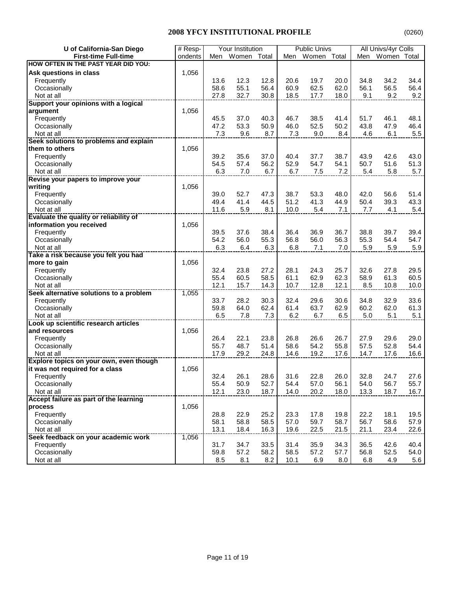| U of California-San Diego                      | # Resp- |      | Your Institution |      |      | <b>Public Univs</b> |      |      | All Univs/4yr Colls |      |
|------------------------------------------------|---------|------|------------------|------|------|---------------------|------|------|---------------------|------|
| <b>First-time Full-time</b>                    | ondents | Men  | Women Total      |      | Men  | Women Total         |      | Men  | Women Total         |      |
| HOW OFTEN IN THE PAST YEAR DID YOU:            |         |      |                  |      |      |                     |      |      |                     |      |
| Ask questions in class                         | 1,056   |      |                  |      |      |                     |      |      |                     |      |
| Frequently                                     |         | 13.6 | 12.3             | 12.8 | 20.6 | 19.7                | 20.0 | 34.8 | 34.2                | 34.4 |
| Occasionally                                   |         | 58.6 | 55.1             | 56.4 | 60.9 | 62.5                | 62.0 | 56.1 | 56.5                | 56.4 |
| Not at all                                     |         | 27.8 | 32.7             | 30.8 | 18.5 | 17.7                | 18.0 | 9.1  | 9.2                 | 9.2  |
| Support your opinions with a logical           |         |      |                  |      |      |                     |      |      |                     |      |
| argument                                       | 1,056   |      |                  |      |      |                     |      |      |                     |      |
| Frequently                                     |         | 45.5 | 37.0             | 40.3 | 46.7 | 38.5                | 41.4 | 51.7 | 46.1                | 48.1 |
| Occasionally                                   |         | 47.2 | 53.3             | 50.9 | 46.0 | 52.5                | 50.2 | 43.8 | 47.9                | 46.4 |
| Not at all                                     |         | 7.3  | 9.6              | 8.7  | 7.3  | 9.0                 | 8.4  | 4.6  | 6.1                 | 5.5  |
| Seek solutions to problems and explain         |         |      |                  |      |      |                     |      |      |                     |      |
| them to others                                 | 1,056   |      |                  |      |      |                     |      |      |                     |      |
| Frequently                                     |         | 39.2 | 35.6             | 37.0 | 40.4 | 37.7                | 38.7 | 43.9 | 42.6                | 43.0 |
| Occasionally                                   |         | 54.5 | 57.4             | 56.2 | 52.9 | 54.7                | 54.1 | 50.7 | 51.6                | 51.3 |
| Not at all                                     |         | 6.3  | 7.0              | 6.7  | 6.7  | 7.5                 | 7.2  | 5.4  | 5.8                 | 5.7  |
| Revise your papers to improve your             |         |      |                  |      |      |                     |      |      |                     |      |
| writing                                        | 1,056   |      |                  |      |      |                     |      |      |                     |      |
| Frequently                                     |         | 39.0 | 52.7             | 47.3 | 38.7 | 53.3                | 48.0 | 42.0 | 56.6                | 51.4 |
| Occasionally                                   |         | 49.4 | 41.4             | 44.5 | 51.2 | 41.3                | 44.9 | 50.4 | 39.3                | 43.3 |
| Not at all                                     |         | 11.6 | 5.9              | 8.1  | 10.0 | 5.4                 | 7.1  | 7.7  | 4.1                 | 5.4  |
| <b>Evaluate the quality or reliability of</b>  |         |      |                  |      |      |                     |      |      |                     |      |
| information you received                       | 1,056   |      |                  |      |      |                     |      |      |                     |      |
| Frequently                                     |         | 39.5 | 37.6             | 38.4 | 36.4 | 36.9                | 36.7 | 38.8 | 39.7                | 39.4 |
| Occasionally                                   |         | 54.2 | 56.0             | 55.3 | 56.8 | 56.0                | 56.3 | 55.3 | 54.4                | 54.7 |
| Not at all                                     |         | 6.3  | 6.4              | 6.3  | 6.8  | 7.1                 | 7.0  | 5.9  | 5.9                 | 5.9  |
| Take a risk because you felt you had           |         |      |                  |      |      |                     |      |      |                     |      |
| more to gain                                   | 1,056   |      |                  |      |      |                     |      |      |                     |      |
| Frequently                                     |         | 32.4 | 23.8             | 27.2 | 28.1 | 24.3                | 25.7 | 32.6 | 27.8                | 29.5 |
| Occasionally                                   |         | 55.4 | 60.5             | 58.5 | 61.1 | 62.9                | 62.3 | 58.9 | 61.3                | 60.5 |
| Not at all                                     |         | 12.1 | 15.7             | 14.3 | 10.7 | 12.8                | 12.1 | 8.5  | 10.8                | 10.0 |
| Seek alternative solutions to a problem        | 1,055   |      |                  |      |      |                     |      |      |                     |      |
| Frequently                                     |         | 33.7 | 28.2             | 30.3 | 32.4 | 29.6                | 30.6 | 34.8 | 32.9                | 33.6 |
| Occasionally                                   |         | 59.8 | 64.0             | 62.4 | 61.4 | 63.7                | 62.9 | 60.2 | 62.0                | 61.3 |
| Not at all                                     |         | 6.5  | 7.8              | 7.3  | 6.2  | 6.7                 | 6.5  | 5.0  | 5.1                 | 5.1  |
| Look up scientific research articles           |         |      |                  |      |      |                     |      |      |                     |      |
| and resources                                  | 1,056   |      |                  |      |      |                     |      |      |                     |      |
| Frequently                                     |         | 26.4 | 22.1             | 23.8 | 26.8 | 26.6                | 26.7 | 27.9 | 29.6                | 29.0 |
| Occasionally                                   |         | 55.7 | 48.7             | 51.4 | 58.6 | 54.2                | 55.8 | 57.5 | 52.8                | 54.4 |
| Not at all                                     |         | 17.9 | 29.2             | 24.8 | 14.6 | 19.2                | 17.6 | 14.7 | 17.6                | 16.6 |
| <b>Explore topics on your own, even though</b> |         |      |                  |      |      |                     |      |      |                     |      |
| it was not required for a class                | 1,056   |      |                  |      |      |                     |      |      |                     |      |
| Frequently                                     |         | 32.4 | 26.1             | 28.6 | 31.6 | 22.8                | 26.0 | 32.8 | 24.7                | 27.6 |
| Occasionally                                   |         | 55.4 | 50.9             | 52.7 | 54.4 | 57.0                | 56.1 | 54.0 | 56.7                | 55.7 |
| Not at all                                     |         | 12.1 | 23.0             | 18.7 | 14.0 | 20.2                | 18.0 | 13.3 | 18.7                | 16.7 |
| Accept failure as part of the learning         |         |      |                  |      |      |                     |      |      |                     |      |
| process                                        | 1,056   |      |                  |      |      |                     |      |      |                     |      |
| Frequently                                     |         | 28.8 | 22.9             | 25.2 | 23.3 | 17.8                | 19.8 | 22.2 | 18.1                | 19.5 |
| Occasionally                                   |         | 58.1 | 58.8             | 58.5 | 57.0 | 59.7                | 58.7 | 56.7 | 58.6                | 57.9 |
| Not at all                                     |         | 13.1 | 18.4             | 16.3 | 19.6 | 22.5                | 21.5 | 21.1 | 23.4                | 22.6 |
| Seek feedback on your academic work            | 1,056   |      |                  |      |      |                     |      |      |                     |      |
| Frequently                                     |         | 31.7 | 34.7             | 33.5 | 31.4 | 35.9                | 34.3 | 36.5 | 42.6                | 40.4 |
| Occasionally                                   |         | 59.8 | 57.2             | 58.2 | 58.5 | 57.2                | 57.7 | 56.8 | 52.5                | 54.0 |
| Not at all                                     |         | 8.5  | 8.1              | 8.2  | 10.1 | 6.9                 | 8.0  | 6.8  | 4.9                 | 5.6  |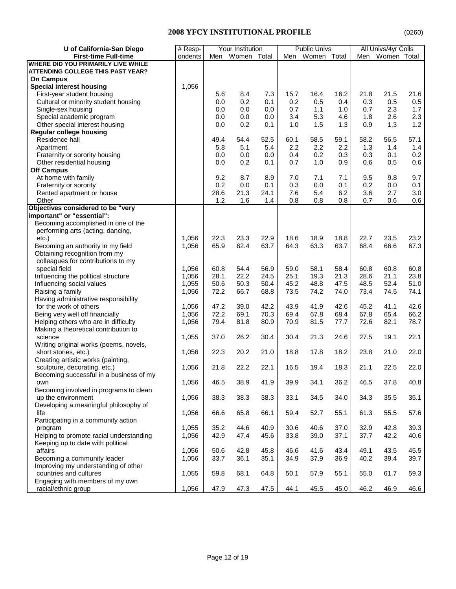| U of California-San Diego               | $#$ Resp- |      | Your Institution |      |      | <b>Public Univs</b> |      |      | All Univs/4yr Colls |      |
|-----------------------------------------|-----------|------|------------------|------|------|---------------------|------|------|---------------------|------|
| <b>First-time Full-time</b>             | ondents   | Men  | Women Total      |      | Men  | Women Total         |      |      | Men Women Total     |      |
| WHERE DID YOU PRIMARILY LIVE WHILE      |           |      |                  |      |      |                     |      |      |                     |      |
| ATTENDING COLLEGE THIS PAST YEAR?       |           |      |                  |      |      |                     |      |      |                     |      |
| <b>On Campus</b>                        |           |      |                  |      |      |                     |      |      |                     |      |
| <b>Special interest housing</b>         | 1,056     |      |                  |      |      |                     |      |      |                     |      |
| First-year student housing              |           | 5.6  | 8.4              | 7.3  | 15.7 | 16.4                | 16.2 | 21.8 | 21.5                | 21.6 |
| Cultural or minority student housing    |           | 0.0  | 0.2              | 0.1  | 0.2  | 0.5                 | 0.4  | 0.3  | 0.5                 | 0.5  |
| Single-sex housing                      |           | 0.0  | 0.0              | 0.0  | 0.7  | 1.1                 | 1.0  | 0.7  | 2.3                 | 1.7  |
| Special academic program                |           | 0.0  | 0.0              | 0.0  | 3.4  | 5.3                 | 4.6  | 1.8  | 2.6                 | 2.3  |
| Other special interest housing          |           | 0.0  | 0.2              | 0.1  | 1.0  | 1.5                 | 1.3  | 0.9  | 1.3                 | 1.2  |
| <b>Regular college housing</b>          |           |      |                  |      |      |                     |      |      |                     |      |
| Residence hall                          |           | 49.4 | 54.4             | 52.5 | 60.1 | 58.5                | 59.1 | 58.2 | 56.5                | 57.1 |
| Apartment                               |           | 5.8  | 5.1              | 5.4  | 2.2  | 2.2                 | 2.2  | 1.3  | 1.4                 | 1.4  |
| Fraternity or sorority housing          |           | 0.0  | 0.0              | 0.0  | 0.4  | 0.2                 | 0.3  | 0.3  | 0.1                 | 0.2  |
| Other residential housing               |           | 0.0  | 0.2              | 0.1  | 0.7  | 1.0                 | 0.9  | 0.6  | 0.5                 | 0.6  |
| <b>Off Campus</b>                       |           |      |                  |      |      |                     |      |      |                     |      |
| At home with family                     |           | 9.2  | 8.7              | 8.9  | 7.0  | 7.1                 | 7.1  | 9.5  | 9.8                 | 9.7  |
| Fraternity or sorority                  |           | 0.2  | 0.0              | 0.1  | 0.3  | 0.0                 | 0.1  | 0.2  | 0.0                 | 0.1  |
| Rented apartment or house               |           | 28.6 | 21.3             | 24.1 | 7.6  | 5.4                 | 6.2  | 3.6  | 2.7                 | 3.0  |
| Other                                   |           | 1.2  | 1.6              | 1.4  | 0.8  | 0.8                 | 0.8  | 0.7  | 0.6                 | 0.6  |
| Objectives considered to be "very       |           |      |                  |      |      |                     |      |      |                     |      |
| important" or "essential":              |           |      |                  |      |      |                     |      |      |                     |      |
| Becoming accomplished in one of the     |           |      |                  |      |      |                     |      |      |                     |      |
| performing arts (acting, dancing,       |           |      |                  |      |      |                     |      |      |                     |      |
| etc.)                                   | 1,056     | 22.3 | 23.3             | 22.9 | 18.6 | 18.9                | 18.8 | 22.7 | 23.5                | 23.2 |
| Becoming an authority in my field       | 1,056     | 65.9 | 62.4             | 63.7 | 64.3 | 63.3                | 63.7 | 68.4 | 66.6                | 67.3 |
| Obtaining recognition from my           |           |      |                  |      |      |                     |      |      |                     |      |
| colleagues for contributions to my      |           |      |                  |      |      |                     |      |      |                     |      |
| special field                           | 1,056     | 60.8 | 54.4             | 56.9 | 59.0 | 58.1                | 58.4 | 60.8 | 60.8                | 60.8 |
| Influencing the political structure     | 1,056     | 28.1 | 22.2             | 24.5 | 25.1 | 19.3                | 21.3 | 28.6 | 21.1                | 23.8 |
| Influencing social values               | 1,055     | 50.6 | 50.3             | 50.4 | 45.2 | 48.8                | 47.5 | 48.5 | 52.4                | 51.0 |
| Raising a family                        | 1,056     | 72.2 | 66.7             | 68.8 | 73.5 | 74.2                | 74.0 | 73.4 | 74.5                | 74.1 |
|                                         |           |      |                  |      |      |                     |      |      |                     |      |
| Having administrative responsibility    |           |      |                  |      |      |                     |      |      |                     |      |
| for the work of others                  | 1,056     | 47.2 | 39.0             | 42.2 | 43.9 | 41.9                | 42.6 | 45.2 | 41.1                | 42.6 |
| Being very well off financially         | 1,056     | 72.2 | 69.1             | 70.3 | 69.4 | 67.8                | 68.4 | 67.8 | 65.4                | 66.2 |
| Helping others who are in difficulty    | 1,056     | 79.4 | 81.8             | 80.9 | 70.9 | 81.5                | 77.7 | 72.6 | 82.1                | 78.7 |
| Making a theoretical contribution to    |           |      |                  |      |      |                     |      |      |                     |      |
| science                                 | 1,055     | 37.0 | 26.2             | 30.4 | 30.4 | 21.3                | 24.6 | 27.5 | 19.1                | 22.1 |
| Writing original works (poems, novels,  |           |      |                  |      |      |                     |      |      |                     |      |
| short stories, etc.)                    | 1,056     | 22.3 | 20.2             | 21.0 | 18.8 | 17.8                | 18.2 | 23.8 | 21.0                | 22.0 |
| Creating artistic works (painting,      |           |      |                  |      |      |                     |      |      |                     |      |
| sculpture, decorating, etc.)            | 1,056     | 21.8 | 22.2             | 22.1 | 16.5 | 19.4                | 18.3 | 21.1 | 22.5                | 22.0 |
| Becoming successful in a business of my |           |      |                  |      |      |                     |      |      |                     |      |
| own                                     | 1,056     | 46.5 | 38.9             | 41.9 | 39.9 | 34.1                | 36.2 | 46.5 | 37.8                | 40.8 |
| Becoming involved in programs to clean  |           |      |                  |      |      |                     |      |      |                     |      |
| up the environment                      | 1,056     | 38.3 | 38.3             | 38.3 | 33.1 | 34.5                | 34.0 | 34.3 | 35.5                | 35.1 |
| Developing a meaningful philosophy of   |           |      |                  |      |      |                     |      |      |                     |      |
| life                                    | 1,056     | 66.6 | 65.8             | 66.1 | 59.4 | 52.7                | 55.1 | 61.3 | 55.5                | 57.6 |
| Participating in a community action     |           |      |                  |      |      |                     |      |      |                     |      |
| program                                 | 1,055     | 35.2 | 44.6             | 40.9 | 30.6 | 40.6                | 37.0 | 32.9 | 42.8                | 39.3 |
| Helping to promote racial understanding | 1,056     | 42.9 | 47.4             | 45.6 | 33.8 | 39.0                | 37.1 | 37.7 | 42.2                | 40.6 |
| Keeping up to date with political       |           |      |                  |      |      |                     |      |      |                     |      |
| affairs                                 | 1,056     | 50.6 | 42.8             | 45.8 | 46.6 | 41.6                | 43.4 | 49.1 | 43.5                | 45.5 |
| Becoming a community leader             | 1,056     | 33.7 | 36.1             | 35.1 | 34.9 | 37.9                | 36.9 | 40.2 | 39.4                | 39.7 |
| Improving my understanding of other     |           |      |                  |      |      |                     |      |      |                     |      |
| countries and cultures                  | 1,055     | 59.8 | 68.1             | 64.8 | 50.1 | 57.9                | 55.1 | 55.0 | 61.7                | 59.3 |
| Engaging with members of my own         |           |      |                  |      |      |                     |      |      |                     |      |
| racial/ethnic group                     | 1,056     | 47.9 | 47.3             | 47.5 | 44.1 | 45.5                | 45.0 | 46.2 | 46.9                | 46.6 |
|                                         |           |      |                  |      |      |                     |      |      |                     |      |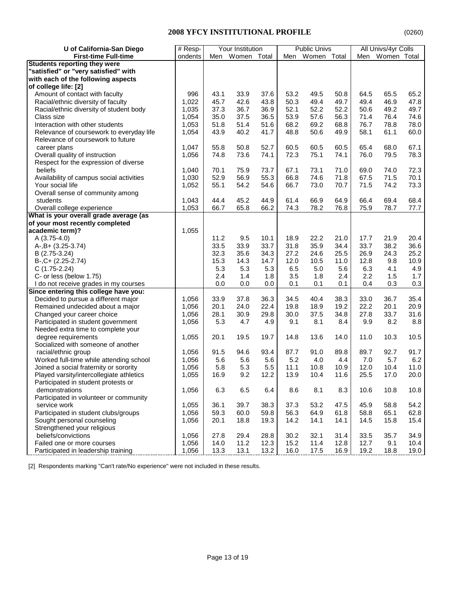| Women Total<br><b>First-time Full-time</b><br>Women Total<br>Women Total<br>Men<br>ondents<br>Men<br>Men<br><b>Students reporting they were</b><br>"satisfied" or "very satisfied" with<br>with each of the following aspects<br>Amount of contact with faculty<br>996<br>43.1<br>33.9<br>37.6<br>53.2<br>50.8<br>65.5<br>65.2<br>49.5<br>64.5<br>1,022<br>45.7<br>43.8<br>50.3<br>49.4<br>49.7<br>49.4<br>46.9<br>47.8<br>Racial/ethnic diversity of faculty<br>42.6<br>49.7<br>Racial/ethnic diversity of student body<br>1,035<br>37.3<br>36.7<br>36.9<br>52.1<br>52.2<br>52.2<br>50.6<br>49.2<br>35.0<br>37.5<br>36.5<br>53.9<br>57.6<br>56.3<br>74.6<br>Class size<br>1,054<br>71.4<br>76.4<br>1,053<br>51.8<br>51.4<br>51.6<br>68.2<br>69.2<br>68.8<br>76.7<br>78.8<br>78.0<br>Interaction with other students<br>60.0<br>1,054<br>43.9<br>40.2<br>41.7<br>48.8<br>50.6<br>49.9<br>Relevance of coursework to everyday life<br>58.1<br>61.1<br>Relevance of coursework to future<br>52.7<br>60.5<br>67.1<br>career plans<br>1,047<br>55.8<br>50.8<br>60.5<br>60.5<br>65.4<br>68.0<br>Overall quality of instruction<br>1,056<br>73.6<br>74.1<br>72.3<br>75.1<br>74.1<br>76.0<br>79.5<br>78.3<br>74.8<br>Respect for the expression of diverse<br>75.9<br>73.7<br>73.1<br>71.0<br>72.3<br>beliefs<br>1,040<br>70.1<br>67.1<br>69.0<br>74.0<br>Availability of campus social activities<br>1,030<br>52.9<br>55.3<br>66.8<br>74.6<br>71.8<br>67.5<br>71.5<br>70.1<br>56.9<br>73.3<br>1,052<br>55.1<br>54.2<br>54.6<br>66.7<br>73.0<br>70.7<br>71.5<br>74.2<br>Your social life<br>Overall sense of community among<br>45.2<br>66.9<br>64.9<br>68.4<br>students<br>1,043<br>44.4<br>44.9<br>61.4<br>66.4<br>69.4<br>1,053<br>66.7<br>65.8<br>66.2<br>74.3<br>78.2<br>76.8<br>75.9<br>78.7<br>77.7<br>Overall college experience<br>What is your overall grade average (as<br>of your most recently completed<br>academic term)?<br>1,055<br>10.1<br>22.2<br>21.0<br>20.4<br>A (3.75-4.0)<br>11.2<br>9.5<br>18.9<br>17.7<br>21.9<br>33.7<br>33.5<br>33.9<br>31.8<br>35.9<br>34.4<br>33.7<br>38.2<br>36.6<br>A-, B+ (3.25-3.74)<br>32.3<br>34.3<br>27.2<br>25.5<br>25.2<br>35.6<br>24.6<br>26.9<br>24.3<br>B (2.75-3.24)<br>15.3<br>10.9<br>14.3<br>14.7<br>12.0<br>10.5<br>12.8<br>9.8<br>$B-, C+ (2.25-2.74)$<br>11.0<br>5.3<br>5.3<br>5.0<br>4.9<br>$C(1.75-2.24)$<br>5.3<br>6.5<br>5.6<br>6.3<br>4.1<br>2.4<br>1.4<br>1.8<br>1.8<br>2.4<br>2.2<br>1.5<br>1.7<br>C- or less (below 1.75)<br>3.5<br>0.0<br>0.1<br>0.4<br>0.3<br>0.3<br>0.0<br>0.0<br>0.1<br>0.1<br>I do not receive grades in my courses<br>Since entering this college have you:<br>36.3<br>38.3<br>35.4<br>Decided to pursue a different major<br>1,056<br>33.9<br>37.8<br>34.5<br>40.4<br>33.0<br>36.7<br>1,056<br>22.4<br>19.8<br>19.2<br>22.2<br>20.1<br>20.9<br>Remained undecided about a major<br>20.1<br>24.0<br>18.9<br>28.1<br>30.9<br>29.8<br>30.0<br>37.5<br>34.8<br>27.8<br>33.7<br>31.6<br>Changed your career choice<br>1,056<br>4.9<br>8.1<br>8.2<br>8.8<br>Participated in student government<br>1,056<br>5.3<br>4.7<br>9.1<br>8.4<br>9.9<br>Needed extra time to complete your<br>19.5<br>13.6<br>11.0<br>10.3<br>10.5<br>degree requirements<br>1,055<br>20.1<br>19.7<br>14.8<br>14.0<br>Socialized with someone of another<br>93.4<br>92.7<br>91.7<br>racial/ethnic group<br>1,056<br>91.5<br>94.6<br>87.7<br>91.0<br>89.8<br>89.7<br>Worked full-time while attending school<br>5.6<br>5.2<br>7.0<br>5.7<br>6.2<br>1,056<br>5.6<br>5.6<br>4.0<br>4.4<br>5.3<br>11.0<br>Joined a social fraternity or sorority<br>5.8<br>5.5<br>11.1<br>10.8<br>10.9<br>12.0<br>10.4<br>1,056<br>1,055<br>16.9<br>9.2<br>12.2<br>10.4<br>11.6<br>25.5<br>17.0<br>20.0<br>Played varsity/intercollegiate athletics<br>13.9<br>Participated in student protests or<br>1,056<br>6.3<br>6.5<br>6.4<br>8.6<br>8.1<br>8.3<br>10.6<br>10.8<br>10.8<br>demonstrations<br>Participated in volunteer or community<br>service work<br>1,055<br>36.1<br>38.3<br>47.5<br>39.7<br>37.3<br>53.2<br>45.9<br>58.8<br>54.2<br>Participated in student clubs/groups<br>1,056<br>59.3<br>60.0<br>59.8<br>56.3<br>64.9<br>61.8<br>58.8<br>65.1<br>62.8<br>Sought personal counseling<br>19.3<br>15.4<br>1,056<br>20.1<br>18.8<br>14.2<br>14.1<br>14.1<br>14.5<br>15.8<br>Strengthened your religious<br>beliefs/convictions<br>1,056<br>27.8<br>29.4<br>28.8<br>30.2<br>32.1<br>31.4<br>33.5<br>35.7<br>34.9<br>Failed one or more courses<br>14.0<br>11.2<br>15.2<br>12.8<br>9.1<br>10.4<br>1,056<br>12.3<br>11.4<br>12.7 | U of California-San Diego           | # Resp- | Your Institution |      | <b>Public Univs</b> |      |      | All Univs/4yr Colls |      |      |      |
|------------------------------------------------------------------------------------------------------------------------------------------------------------------------------------------------------------------------------------------------------------------------------------------------------------------------------------------------------------------------------------------------------------------------------------------------------------------------------------------------------------------------------------------------------------------------------------------------------------------------------------------------------------------------------------------------------------------------------------------------------------------------------------------------------------------------------------------------------------------------------------------------------------------------------------------------------------------------------------------------------------------------------------------------------------------------------------------------------------------------------------------------------------------------------------------------------------------------------------------------------------------------------------------------------------------------------------------------------------------------------------------------------------------------------------------------------------------------------------------------------------------------------------------------------------------------------------------------------------------------------------------------------------------------------------------------------------------------------------------------------------------------------------------------------------------------------------------------------------------------------------------------------------------------------------------------------------------------------------------------------------------------------------------------------------------------------------------------------------------------------------------------------------------------------------------------------------------------------------------------------------------------------------------------------------------------------------------------------------------------------------------------------------------------------------------------------------------------------------------------------------------------------------------------------------------------------------------------------------------------------------------------------------------------------------------------------------------------------------------------------------------------------------------------------------------------------------------------------------------------------------------------------------------------------------------------------------------------------------------------------------------------------------------------------------------------------------------------------------------------------------------------------------------------------------------------------------------------------------------------------------------------------------------------------------------------------------------------------------------------------------------------------------------------------------------------------------------------------------------------------------------------------------------------------------------------------------------------------------------------------------------------------------------------------------------------------------------------------------------------------------------------------------------------------------------------------------------------------------------------------------------------------------------------------------------------------------------------------------------------------------------------------------------------------------------------------------------------------------------------------------------------------------------------------------------------------------------------------------------------------------------------------------------------------------------------------------------------------------------------------------------------------------------------------------------------------------------------------------------------------------------------------------------------------------------------------|-------------------------------------|---------|------------------|------|---------------------|------|------|---------------------|------|------|------|
|                                                                                                                                                                                                                                                                                                                                                                                                                                                                                                                                                                                                                                                                                                                                                                                                                                                                                                                                                                                                                                                                                                                                                                                                                                                                                                                                                                                                                                                                                                                                                                                                                                                                                                                                                                                                                                                                                                                                                                                                                                                                                                                                                                                                                                                                                                                                                                                                                                                                                                                                                                                                                                                                                                                                                                                                                                                                                                                                                                                                                                                                                                                                                                                                                                                                                                                                                                                                                                                                                                                                                                                                                                                                                                                                                                                                                                                                                                                                                                                                                                                                                                                                                                                                                                                                                                                                                                                                                                                                                                                                                                              |                                     |         |                  |      |                     |      |      |                     |      |      |      |
|                                                                                                                                                                                                                                                                                                                                                                                                                                                                                                                                                                                                                                                                                                                                                                                                                                                                                                                                                                                                                                                                                                                                                                                                                                                                                                                                                                                                                                                                                                                                                                                                                                                                                                                                                                                                                                                                                                                                                                                                                                                                                                                                                                                                                                                                                                                                                                                                                                                                                                                                                                                                                                                                                                                                                                                                                                                                                                                                                                                                                                                                                                                                                                                                                                                                                                                                                                                                                                                                                                                                                                                                                                                                                                                                                                                                                                                                                                                                                                                                                                                                                                                                                                                                                                                                                                                                                                                                                                                                                                                                                                              |                                     |         |                  |      |                     |      |      |                     |      |      |      |
|                                                                                                                                                                                                                                                                                                                                                                                                                                                                                                                                                                                                                                                                                                                                                                                                                                                                                                                                                                                                                                                                                                                                                                                                                                                                                                                                                                                                                                                                                                                                                                                                                                                                                                                                                                                                                                                                                                                                                                                                                                                                                                                                                                                                                                                                                                                                                                                                                                                                                                                                                                                                                                                                                                                                                                                                                                                                                                                                                                                                                                                                                                                                                                                                                                                                                                                                                                                                                                                                                                                                                                                                                                                                                                                                                                                                                                                                                                                                                                                                                                                                                                                                                                                                                                                                                                                                                                                                                                                                                                                                                                              |                                     |         |                  |      |                     |      |      |                     |      |      |      |
|                                                                                                                                                                                                                                                                                                                                                                                                                                                                                                                                                                                                                                                                                                                                                                                                                                                                                                                                                                                                                                                                                                                                                                                                                                                                                                                                                                                                                                                                                                                                                                                                                                                                                                                                                                                                                                                                                                                                                                                                                                                                                                                                                                                                                                                                                                                                                                                                                                                                                                                                                                                                                                                                                                                                                                                                                                                                                                                                                                                                                                                                                                                                                                                                                                                                                                                                                                                                                                                                                                                                                                                                                                                                                                                                                                                                                                                                                                                                                                                                                                                                                                                                                                                                                                                                                                                                                                                                                                                                                                                                                                              |                                     |         |                  |      |                     |      |      |                     |      |      |      |
|                                                                                                                                                                                                                                                                                                                                                                                                                                                                                                                                                                                                                                                                                                                                                                                                                                                                                                                                                                                                                                                                                                                                                                                                                                                                                                                                                                                                                                                                                                                                                                                                                                                                                                                                                                                                                                                                                                                                                                                                                                                                                                                                                                                                                                                                                                                                                                                                                                                                                                                                                                                                                                                                                                                                                                                                                                                                                                                                                                                                                                                                                                                                                                                                                                                                                                                                                                                                                                                                                                                                                                                                                                                                                                                                                                                                                                                                                                                                                                                                                                                                                                                                                                                                                                                                                                                                                                                                                                                                                                                                                                              | of college life: [2]                |         |                  |      |                     |      |      |                     |      |      |      |
|                                                                                                                                                                                                                                                                                                                                                                                                                                                                                                                                                                                                                                                                                                                                                                                                                                                                                                                                                                                                                                                                                                                                                                                                                                                                                                                                                                                                                                                                                                                                                                                                                                                                                                                                                                                                                                                                                                                                                                                                                                                                                                                                                                                                                                                                                                                                                                                                                                                                                                                                                                                                                                                                                                                                                                                                                                                                                                                                                                                                                                                                                                                                                                                                                                                                                                                                                                                                                                                                                                                                                                                                                                                                                                                                                                                                                                                                                                                                                                                                                                                                                                                                                                                                                                                                                                                                                                                                                                                                                                                                                                              |                                     |         |                  |      |                     |      |      |                     |      |      |      |
|                                                                                                                                                                                                                                                                                                                                                                                                                                                                                                                                                                                                                                                                                                                                                                                                                                                                                                                                                                                                                                                                                                                                                                                                                                                                                                                                                                                                                                                                                                                                                                                                                                                                                                                                                                                                                                                                                                                                                                                                                                                                                                                                                                                                                                                                                                                                                                                                                                                                                                                                                                                                                                                                                                                                                                                                                                                                                                                                                                                                                                                                                                                                                                                                                                                                                                                                                                                                                                                                                                                                                                                                                                                                                                                                                                                                                                                                                                                                                                                                                                                                                                                                                                                                                                                                                                                                                                                                                                                                                                                                                                              |                                     |         |                  |      |                     |      |      |                     |      |      |      |
|                                                                                                                                                                                                                                                                                                                                                                                                                                                                                                                                                                                                                                                                                                                                                                                                                                                                                                                                                                                                                                                                                                                                                                                                                                                                                                                                                                                                                                                                                                                                                                                                                                                                                                                                                                                                                                                                                                                                                                                                                                                                                                                                                                                                                                                                                                                                                                                                                                                                                                                                                                                                                                                                                                                                                                                                                                                                                                                                                                                                                                                                                                                                                                                                                                                                                                                                                                                                                                                                                                                                                                                                                                                                                                                                                                                                                                                                                                                                                                                                                                                                                                                                                                                                                                                                                                                                                                                                                                                                                                                                                                              |                                     |         |                  |      |                     |      |      |                     |      |      |      |
|                                                                                                                                                                                                                                                                                                                                                                                                                                                                                                                                                                                                                                                                                                                                                                                                                                                                                                                                                                                                                                                                                                                                                                                                                                                                                                                                                                                                                                                                                                                                                                                                                                                                                                                                                                                                                                                                                                                                                                                                                                                                                                                                                                                                                                                                                                                                                                                                                                                                                                                                                                                                                                                                                                                                                                                                                                                                                                                                                                                                                                                                                                                                                                                                                                                                                                                                                                                                                                                                                                                                                                                                                                                                                                                                                                                                                                                                                                                                                                                                                                                                                                                                                                                                                                                                                                                                                                                                                                                                                                                                                                              |                                     |         |                  |      |                     |      |      |                     |      |      |      |
|                                                                                                                                                                                                                                                                                                                                                                                                                                                                                                                                                                                                                                                                                                                                                                                                                                                                                                                                                                                                                                                                                                                                                                                                                                                                                                                                                                                                                                                                                                                                                                                                                                                                                                                                                                                                                                                                                                                                                                                                                                                                                                                                                                                                                                                                                                                                                                                                                                                                                                                                                                                                                                                                                                                                                                                                                                                                                                                                                                                                                                                                                                                                                                                                                                                                                                                                                                                                                                                                                                                                                                                                                                                                                                                                                                                                                                                                                                                                                                                                                                                                                                                                                                                                                                                                                                                                                                                                                                                                                                                                                                              |                                     |         |                  |      |                     |      |      |                     |      |      |      |
|                                                                                                                                                                                                                                                                                                                                                                                                                                                                                                                                                                                                                                                                                                                                                                                                                                                                                                                                                                                                                                                                                                                                                                                                                                                                                                                                                                                                                                                                                                                                                                                                                                                                                                                                                                                                                                                                                                                                                                                                                                                                                                                                                                                                                                                                                                                                                                                                                                                                                                                                                                                                                                                                                                                                                                                                                                                                                                                                                                                                                                                                                                                                                                                                                                                                                                                                                                                                                                                                                                                                                                                                                                                                                                                                                                                                                                                                                                                                                                                                                                                                                                                                                                                                                                                                                                                                                                                                                                                                                                                                                                              |                                     |         |                  |      |                     |      |      |                     |      |      |      |
|                                                                                                                                                                                                                                                                                                                                                                                                                                                                                                                                                                                                                                                                                                                                                                                                                                                                                                                                                                                                                                                                                                                                                                                                                                                                                                                                                                                                                                                                                                                                                                                                                                                                                                                                                                                                                                                                                                                                                                                                                                                                                                                                                                                                                                                                                                                                                                                                                                                                                                                                                                                                                                                                                                                                                                                                                                                                                                                                                                                                                                                                                                                                                                                                                                                                                                                                                                                                                                                                                                                                                                                                                                                                                                                                                                                                                                                                                                                                                                                                                                                                                                                                                                                                                                                                                                                                                                                                                                                                                                                                                                              |                                     |         |                  |      |                     |      |      |                     |      |      |      |
|                                                                                                                                                                                                                                                                                                                                                                                                                                                                                                                                                                                                                                                                                                                                                                                                                                                                                                                                                                                                                                                                                                                                                                                                                                                                                                                                                                                                                                                                                                                                                                                                                                                                                                                                                                                                                                                                                                                                                                                                                                                                                                                                                                                                                                                                                                                                                                                                                                                                                                                                                                                                                                                                                                                                                                                                                                                                                                                                                                                                                                                                                                                                                                                                                                                                                                                                                                                                                                                                                                                                                                                                                                                                                                                                                                                                                                                                                                                                                                                                                                                                                                                                                                                                                                                                                                                                                                                                                                                                                                                                                                              |                                     |         |                  |      |                     |      |      |                     |      |      |      |
|                                                                                                                                                                                                                                                                                                                                                                                                                                                                                                                                                                                                                                                                                                                                                                                                                                                                                                                                                                                                                                                                                                                                                                                                                                                                                                                                                                                                                                                                                                                                                                                                                                                                                                                                                                                                                                                                                                                                                                                                                                                                                                                                                                                                                                                                                                                                                                                                                                                                                                                                                                                                                                                                                                                                                                                                                                                                                                                                                                                                                                                                                                                                                                                                                                                                                                                                                                                                                                                                                                                                                                                                                                                                                                                                                                                                                                                                                                                                                                                                                                                                                                                                                                                                                                                                                                                                                                                                                                                                                                                                                                              |                                     |         |                  |      |                     |      |      |                     |      |      |      |
|                                                                                                                                                                                                                                                                                                                                                                                                                                                                                                                                                                                                                                                                                                                                                                                                                                                                                                                                                                                                                                                                                                                                                                                                                                                                                                                                                                                                                                                                                                                                                                                                                                                                                                                                                                                                                                                                                                                                                                                                                                                                                                                                                                                                                                                                                                                                                                                                                                                                                                                                                                                                                                                                                                                                                                                                                                                                                                                                                                                                                                                                                                                                                                                                                                                                                                                                                                                                                                                                                                                                                                                                                                                                                                                                                                                                                                                                                                                                                                                                                                                                                                                                                                                                                                                                                                                                                                                                                                                                                                                                                                              |                                     |         |                  |      |                     |      |      |                     |      |      |      |
|                                                                                                                                                                                                                                                                                                                                                                                                                                                                                                                                                                                                                                                                                                                                                                                                                                                                                                                                                                                                                                                                                                                                                                                                                                                                                                                                                                                                                                                                                                                                                                                                                                                                                                                                                                                                                                                                                                                                                                                                                                                                                                                                                                                                                                                                                                                                                                                                                                                                                                                                                                                                                                                                                                                                                                                                                                                                                                                                                                                                                                                                                                                                                                                                                                                                                                                                                                                                                                                                                                                                                                                                                                                                                                                                                                                                                                                                                                                                                                                                                                                                                                                                                                                                                                                                                                                                                                                                                                                                                                                                                                              |                                     |         |                  |      |                     |      |      |                     |      |      |      |
|                                                                                                                                                                                                                                                                                                                                                                                                                                                                                                                                                                                                                                                                                                                                                                                                                                                                                                                                                                                                                                                                                                                                                                                                                                                                                                                                                                                                                                                                                                                                                                                                                                                                                                                                                                                                                                                                                                                                                                                                                                                                                                                                                                                                                                                                                                                                                                                                                                                                                                                                                                                                                                                                                                                                                                                                                                                                                                                                                                                                                                                                                                                                                                                                                                                                                                                                                                                                                                                                                                                                                                                                                                                                                                                                                                                                                                                                                                                                                                                                                                                                                                                                                                                                                                                                                                                                                                                                                                                                                                                                                                              |                                     |         |                  |      |                     |      |      |                     |      |      |      |
|                                                                                                                                                                                                                                                                                                                                                                                                                                                                                                                                                                                                                                                                                                                                                                                                                                                                                                                                                                                                                                                                                                                                                                                                                                                                                                                                                                                                                                                                                                                                                                                                                                                                                                                                                                                                                                                                                                                                                                                                                                                                                                                                                                                                                                                                                                                                                                                                                                                                                                                                                                                                                                                                                                                                                                                                                                                                                                                                                                                                                                                                                                                                                                                                                                                                                                                                                                                                                                                                                                                                                                                                                                                                                                                                                                                                                                                                                                                                                                                                                                                                                                                                                                                                                                                                                                                                                                                                                                                                                                                                                                              |                                     |         |                  |      |                     |      |      |                     |      |      |      |
|                                                                                                                                                                                                                                                                                                                                                                                                                                                                                                                                                                                                                                                                                                                                                                                                                                                                                                                                                                                                                                                                                                                                                                                                                                                                                                                                                                                                                                                                                                                                                                                                                                                                                                                                                                                                                                                                                                                                                                                                                                                                                                                                                                                                                                                                                                                                                                                                                                                                                                                                                                                                                                                                                                                                                                                                                                                                                                                                                                                                                                                                                                                                                                                                                                                                                                                                                                                                                                                                                                                                                                                                                                                                                                                                                                                                                                                                                                                                                                                                                                                                                                                                                                                                                                                                                                                                                                                                                                                                                                                                                                              |                                     |         |                  |      |                     |      |      |                     |      |      |      |
|                                                                                                                                                                                                                                                                                                                                                                                                                                                                                                                                                                                                                                                                                                                                                                                                                                                                                                                                                                                                                                                                                                                                                                                                                                                                                                                                                                                                                                                                                                                                                                                                                                                                                                                                                                                                                                                                                                                                                                                                                                                                                                                                                                                                                                                                                                                                                                                                                                                                                                                                                                                                                                                                                                                                                                                                                                                                                                                                                                                                                                                                                                                                                                                                                                                                                                                                                                                                                                                                                                                                                                                                                                                                                                                                                                                                                                                                                                                                                                                                                                                                                                                                                                                                                                                                                                                                                                                                                                                                                                                                                                              |                                     |         |                  |      |                     |      |      |                     |      |      |      |
|                                                                                                                                                                                                                                                                                                                                                                                                                                                                                                                                                                                                                                                                                                                                                                                                                                                                                                                                                                                                                                                                                                                                                                                                                                                                                                                                                                                                                                                                                                                                                                                                                                                                                                                                                                                                                                                                                                                                                                                                                                                                                                                                                                                                                                                                                                                                                                                                                                                                                                                                                                                                                                                                                                                                                                                                                                                                                                                                                                                                                                                                                                                                                                                                                                                                                                                                                                                                                                                                                                                                                                                                                                                                                                                                                                                                                                                                                                                                                                                                                                                                                                                                                                                                                                                                                                                                                                                                                                                                                                                                                                              |                                     |         |                  |      |                     |      |      |                     |      |      |      |
|                                                                                                                                                                                                                                                                                                                                                                                                                                                                                                                                                                                                                                                                                                                                                                                                                                                                                                                                                                                                                                                                                                                                                                                                                                                                                                                                                                                                                                                                                                                                                                                                                                                                                                                                                                                                                                                                                                                                                                                                                                                                                                                                                                                                                                                                                                                                                                                                                                                                                                                                                                                                                                                                                                                                                                                                                                                                                                                                                                                                                                                                                                                                                                                                                                                                                                                                                                                                                                                                                                                                                                                                                                                                                                                                                                                                                                                                                                                                                                                                                                                                                                                                                                                                                                                                                                                                                                                                                                                                                                                                                                              |                                     |         |                  |      |                     |      |      |                     |      |      |      |
|                                                                                                                                                                                                                                                                                                                                                                                                                                                                                                                                                                                                                                                                                                                                                                                                                                                                                                                                                                                                                                                                                                                                                                                                                                                                                                                                                                                                                                                                                                                                                                                                                                                                                                                                                                                                                                                                                                                                                                                                                                                                                                                                                                                                                                                                                                                                                                                                                                                                                                                                                                                                                                                                                                                                                                                                                                                                                                                                                                                                                                                                                                                                                                                                                                                                                                                                                                                                                                                                                                                                                                                                                                                                                                                                                                                                                                                                                                                                                                                                                                                                                                                                                                                                                                                                                                                                                                                                                                                                                                                                                                              |                                     |         |                  |      |                     |      |      |                     |      |      |      |
|                                                                                                                                                                                                                                                                                                                                                                                                                                                                                                                                                                                                                                                                                                                                                                                                                                                                                                                                                                                                                                                                                                                                                                                                                                                                                                                                                                                                                                                                                                                                                                                                                                                                                                                                                                                                                                                                                                                                                                                                                                                                                                                                                                                                                                                                                                                                                                                                                                                                                                                                                                                                                                                                                                                                                                                                                                                                                                                                                                                                                                                                                                                                                                                                                                                                                                                                                                                                                                                                                                                                                                                                                                                                                                                                                                                                                                                                                                                                                                                                                                                                                                                                                                                                                                                                                                                                                                                                                                                                                                                                                                              |                                     |         |                  |      |                     |      |      |                     |      |      |      |
|                                                                                                                                                                                                                                                                                                                                                                                                                                                                                                                                                                                                                                                                                                                                                                                                                                                                                                                                                                                                                                                                                                                                                                                                                                                                                                                                                                                                                                                                                                                                                                                                                                                                                                                                                                                                                                                                                                                                                                                                                                                                                                                                                                                                                                                                                                                                                                                                                                                                                                                                                                                                                                                                                                                                                                                                                                                                                                                                                                                                                                                                                                                                                                                                                                                                                                                                                                                                                                                                                                                                                                                                                                                                                                                                                                                                                                                                                                                                                                                                                                                                                                                                                                                                                                                                                                                                                                                                                                                                                                                                                                              |                                     |         |                  |      |                     |      |      |                     |      |      |      |
|                                                                                                                                                                                                                                                                                                                                                                                                                                                                                                                                                                                                                                                                                                                                                                                                                                                                                                                                                                                                                                                                                                                                                                                                                                                                                                                                                                                                                                                                                                                                                                                                                                                                                                                                                                                                                                                                                                                                                                                                                                                                                                                                                                                                                                                                                                                                                                                                                                                                                                                                                                                                                                                                                                                                                                                                                                                                                                                                                                                                                                                                                                                                                                                                                                                                                                                                                                                                                                                                                                                                                                                                                                                                                                                                                                                                                                                                                                                                                                                                                                                                                                                                                                                                                                                                                                                                                                                                                                                                                                                                                                              |                                     |         |                  |      |                     |      |      |                     |      |      |      |
|                                                                                                                                                                                                                                                                                                                                                                                                                                                                                                                                                                                                                                                                                                                                                                                                                                                                                                                                                                                                                                                                                                                                                                                                                                                                                                                                                                                                                                                                                                                                                                                                                                                                                                                                                                                                                                                                                                                                                                                                                                                                                                                                                                                                                                                                                                                                                                                                                                                                                                                                                                                                                                                                                                                                                                                                                                                                                                                                                                                                                                                                                                                                                                                                                                                                                                                                                                                                                                                                                                                                                                                                                                                                                                                                                                                                                                                                                                                                                                                                                                                                                                                                                                                                                                                                                                                                                                                                                                                                                                                                                                              |                                     |         |                  |      |                     |      |      |                     |      |      |      |
|                                                                                                                                                                                                                                                                                                                                                                                                                                                                                                                                                                                                                                                                                                                                                                                                                                                                                                                                                                                                                                                                                                                                                                                                                                                                                                                                                                                                                                                                                                                                                                                                                                                                                                                                                                                                                                                                                                                                                                                                                                                                                                                                                                                                                                                                                                                                                                                                                                                                                                                                                                                                                                                                                                                                                                                                                                                                                                                                                                                                                                                                                                                                                                                                                                                                                                                                                                                                                                                                                                                                                                                                                                                                                                                                                                                                                                                                                                                                                                                                                                                                                                                                                                                                                                                                                                                                                                                                                                                                                                                                                                              |                                     |         |                  |      |                     |      |      |                     |      |      |      |
|                                                                                                                                                                                                                                                                                                                                                                                                                                                                                                                                                                                                                                                                                                                                                                                                                                                                                                                                                                                                                                                                                                                                                                                                                                                                                                                                                                                                                                                                                                                                                                                                                                                                                                                                                                                                                                                                                                                                                                                                                                                                                                                                                                                                                                                                                                                                                                                                                                                                                                                                                                                                                                                                                                                                                                                                                                                                                                                                                                                                                                                                                                                                                                                                                                                                                                                                                                                                                                                                                                                                                                                                                                                                                                                                                                                                                                                                                                                                                                                                                                                                                                                                                                                                                                                                                                                                                                                                                                                                                                                                                                              |                                     |         |                  |      |                     |      |      |                     |      |      |      |
|                                                                                                                                                                                                                                                                                                                                                                                                                                                                                                                                                                                                                                                                                                                                                                                                                                                                                                                                                                                                                                                                                                                                                                                                                                                                                                                                                                                                                                                                                                                                                                                                                                                                                                                                                                                                                                                                                                                                                                                                                                                                                                                                                                                                                                                                                                                                                                                                                                                                                                                                                                                                                                                                                                                                                                                                                                                                                                                                                                                                                                                                                                                                                                                                                                                                                                                                                                                                                                                                                                                                                                                                                                                                                                                                                                                                                                                                                                                                                                                                                                                                                                                                                                                                                                                                                                                                                                                                                                                                                                                                                                              |                                     |         |                  |      |                     |      |      |                     |      |      |      |
|                                                                                                                                                                                                                                                                                                                                                                                                                                                                                                                                                                                                                                                                                                                                                                                                                                                                                                                                                                                                                                                                                                                                                                                                                                                                                                                                                                                                                                                                                                                                                                                                                                                                                                                                                                                                                                                                                                                                                                                                                                                                                                                                                                                                                                                                                                                                                                                                                                                                                                                                                                                                                                                                                                                                                                                                                                                                                                                                                                                                                                                                                                                                                                                                                                                                                                                                                                                                                                                                                                                                                                                                                                                                                                                                                                                                                                                                                                                                                                                                                                                                                                                                                                                                                                                                                                                                                                                                                                                                                                                                                                              |                                     |         |                  |      |                     |      |      |                     |      |      |      |
|                                                                                                                                                                                                                                                                                                                                                                                                                                                                                                                                                                                                                                                                                                                                                                                                                                                                                                                                                                                                                                                                                                                                                                                                                                                                                                                                                                                                                                                                                                                                                                                                                                                                                                                                                                                                                                                                                                                                                                                                                                                                                                                                                                                                                                                                                                                                                                                                                                                                                                                                                                                                                                                                                                                                                                                                                                                                                                                                                                                                                                                                                                                                                                                                                                                                                                                                                                                                                                                                                                                                                                                                                                                                                                                                                                                                                                                                                                                                                                                                                                                                                                                                                                                                                                                                                                                                                                                                                                                                                                                                                                              |                                     |         |                  |      |                     |      |      |                     |      |      |      |
|                                                                                                                                                                                                                                                                                                                                                                                                                                                                                                                                                                                                                                                                                                                                                                                                                                                                                                                                                                                                                                                                                                                                                                                                                                                                                                                                                                                                                                                                                                                                                                                                                                                                                                                                                                                                                                                                                                                                                                                                                                                                                                                                                                                                                                                                                                                                                                                                                                                                                                                                                                                                                                                                                                                                                                                                                                                                                                                                                                                                                                                                                                                                                                                                                                                                                                                                                                                                                                                                                                                                                                                                                                                                                                                                                                                                                                                                                                                                                                                                                                                                                                                                                                                                                                                                                                                                                                                                                                                                                                                                                                              |                                     |         |                  |      |                     |      |      |                     |      |      |      |
|                                                                                                                                                                                                                                                                                                                                                                                                                                                                                                                                                                                                                                                                                                                                                                                                                                                                                                                                                                                                                                                                                                                                                                                                                                                                                                                                                                                                                                                                                                                                                                                                                                                                                                                                                                                                                                                                                                                                                                                                                                                                                                                                                                                                                                                                                                                                                                                                                                                                                                                                                                                                                                                                                                                                                                                                                                                                                                                                                                                                                                                                                                                                                                                                                                                                                                                                                                                                                                                                                                                                                                                                                                                                                                                                                                                                                                                                                                                                                                                                                                                                                                                                                                                                                                                                                                                                                                                                                                                                                                                                                                              |                                     |         |                  |      |                     |      |      |                     |      |      |      |
|                                                                                                                                                                                                                                                                                                                                                                                                                                                                                                                                                                                                                                                                                                                                                                                                                                                                                                                                                                                                                                                                                                                                                                                                                                                                                                                                                                                                                                                                                                                                                                                                                                                                                                                                                                                                                                                                                                                                                                                                                                                                                                                                                                                                                                                                                                                                                                                                                                                                                                                                                                                                                                                                                                                                                                                                                                                                                                                                                                                                                                                                                                                                                                                                                                                                                                                                                                                                                                                                                                                                                                                                                                                                                                                                                                                                                                                                                                                                                                                                                                                                                                                                                                                                                                                                                                                                                                                                                                                                                                                                                                              |                                     |         |                  |      |                     |      |      |                     |      |      |      |
|                                                                                                                                                                                                                                                                                                                                                                                                                                                                                                                                                                                                                                                                                                                                                                                                                                                                                                                                                                                                                                                                                                                                                                                                                                                                                                                                                                                                                                                                                                                                                                                                                                                                                                                                                                                                                                                                                                                                                                                                                                                                                                                                                                                                                                                                                                                                                                                                                                                                                                                                                                                                                                                                                                                                                                                                                                                                                                                                                                                                                                                                                                                                                                                                                                                                                                                                                                                                                                                                                                                                                                                                                                                                                                                                                                                                                                                                                                                                                                                                                                                                                                                                                                                                                                                                                                                                                                                                                                                                                                                                                                              |                                     |         |                  |      |                     |      |      |                     |      |      |      |
|                                                                                                                                                                                                                                                                                                                                                                                                                                                                                                                                                                                                                                                                                                                                                                                                                                                                                                                                                                                                                                                                                                                                                                                                                                                                                                                                                                                                                                                                                                                                                                                                                                                                                                                                                                                                                                                                                                                                                                                                                                                                                                                                                                                                                                                                                                                                                                                                                                                                                                                                                                                                                                                                                                                                                                                                                                                                                                                                                                                                                                                                                                                                                                                                                                                                                                                                                                                                                                                                                                                                                                                                                                                                                                                                                                                                                                                                                                                                                                                                                                                                                                                                                                                                                                                                                                                                                                                                                                                                                                                                                                              |                                     |         |                  |      |                     |      |      |                     |      |      |      |
|                                                                                                                                                                                                                                                                                                                                                                                                                                                                                                                                                                                                                                                                                                                                                                                                                                                                                                                                                                                                                                                                                                                                                                                                                                                                                                                                                                                                                                                                                                                                                                                                                                                                                                                                                                                                                                                                                                                                                                                                                                                                                                                                                                                                                                                                                                                                                                                                                                                                                                                                                                                                                                                                                                                                                                                                                                                                                                                                                                                                                                                                                                                                                                                                                                                                                                                                                                                                                                                                                                                                                                                                                                                                                                                                                                                                                                                                                                                                                                                                                                                                                                                                                                                                                                                                                                                                                                                                                                                                                                                                                                              |                                     |         |                  |      |                     |      |      |                     |      |      |      |
|                                                                                                                                                                                                                                                                                                                                                                                                                                                                                                                                                                                                                                                                                                                                                                                                                                                                                                                                                                                                                                                                                                                                                                                                                                                                                                                                                                                                                                                                                                                                                                                                                                                                                                                                                                                                                                                                                                                                                                                                                                                                                                                                                                                                                                                                                                                                                                                                                                                                                                                                                                                                                                                                                                                                                                                                                                                                                                                                                                                                                                                                                                                                                                                                                                                                                                                                                                                                                                                                                                                                                                                                                                                                                                                                                                                                                                                                                                                                                                                                                                                                                                                                                                                                                                                                                                                                                                                                                                                                                                                                                                              |                                     |         |                  |      |                     |      |      |                     |      |      |      |
|                                                                                                                                                                                                                                                                                                                                                                                                                                                                                                                                                                                                                                                                                                                                                                                                                                                                                                                                                                                                                                                                                                                                                                                                                                                                                                                                                                                                                                                                                                                                                                                                                                                                                                                                                                                                                                                                                                                                                                                                                                                                                                                                                                                                                                                                                                                                                                                                                                                                                                                                                                                                                                                                                                                                                                                                                                                                                                                                                                                                                                                                                                                                                                                                                                                                                                                                                                                                                                                                                                                                                                                                                                                                                                                                                                                                                                                                                                                                                                                                                                                                                                                                                                                                                                                                                                                                                                                                                                                                                                                                                                              |                                     |         |                  |      |                     |      |      |                     |      |      |      |
|                                                                                                                                                                                                                                                                                                                                                                                                                                                                                                                                                                                                                                                                                                                                                                                                                                                                                                                                                                                                                                                                                                                                                                                                                                                                                                                                                                                                                                                                                                                                                                                                                                                                                                                                                                                                                                                                                                                                                                                                                                                                                                                                                                                                                                                                                                                                                                                                                                                                                                                                                                                                                                                                                                                                                                                                                                                                                                                                                                                                                                                                                                                                                                                                                                                                                                                                                                                                                                                                                                                                                                                                                                                                                                                                                                                                                                                                                                                                                                                                                                                                                                                                                                                                                                                                                                                                                                                                                                                                                                                                                                              |                                     |         |                  |      |                     |      |      |                     |      |      |      |
|                                                                                                                                                                                                                                                                                                                                                                                                                                                                                                                                                                                                                                                                                                                                                                                                                                                                                                                                                                                                                                                                                                                                                                                                                                                                                                                                                                                                                                                                                                                                                                                                                                                                                                                                                                                                                                                                                                                                                                                                                                                                                                                                                                                                                                                                                                                                                                                                                                                                                                                                                                                                                                                                                                                                                                                                                                                                                                                                                                                                                                                                                                                                                                                                                                                                                                                                                                                                                                                                                                                                                                                                                                                                                                                                                                                                                                                                                                                                                                                                                                                                                                                                                                                                                                                                                                                                                                                                                                                                                                                                                                              |                                     |         |                  |      |                     |      |      |                     |      |      |      |
|                                                                                                                                                                                                                                                                                                                                                                                                                                                                                                                                                                                                                                                                                                                                                                                                                                                                                                                                                                                                                                                                                                                                                                                                                                                                                                                                                                                                                                                                                                                                                                                                                                                                                                                                                                                                                                                                                                                                                                                                                                                                                                                                                                                                                                                                                                                                                                                                                                                                                                                                                                                                                                                                                                                                                                                                                                                                                                                                                                                                                                                                                                                                                                                                                                                                                                                                                                                                                                                                                                                                                                                                                                                                                                                                                                                                                                                                                                                                                                                                                                                                                                                                                                                                                                                                                                                                                                                                                                                                                                                                                                              |                                     |         |                  |      |                     |      |      |                     |      |      |      |
|                                                                                                                                                                                                                                                                                                                                                                                                                                                                                                                                                                                                                                                                                                                                                                                                                                                                                                                                                                                                                                                                                                                                                                                                                                                                                                                                                                                                                                                                                                                                                                                                                                                                                                                                                                                                                                                                                                                                                                                                                                                                                                                                                                                                                                                                                                                                                                                                                                                                                                                                                                                                                                                                                                                                                                                                                                                                                                                                                                                                                                                                                                                                                                                                                                                                                                                                                                                                                                                                                                                                                                                                                                                                                                                                                                                                                                                                                                                                                                                                                                                                                                                                                                                                                                                                                                                                                                                                                                                                                                                                                                              |                                     |         |                  |      |                     |      |      |                     |      |      |      |
|                                                                                                                                                                                                                                                                                                                                                                                                                                                                                                                                                                                                                                                                                                                                                                                                                                                                                                                                                                                                                                                                                                                                                                                                                                                                                                                                                                                                                                                                                                                                                                                                                                                                                                                                                                                                                                                                                                                                                                                                                                                                                                                                                                                                                                                                                                                                                                                                                                                                                                                                                                                                                                                                                                                                                                                                                                                                                                                                                                                                                                                                                                                                                                                                                                                                                                                                                                                                                                                                                                                                                                                                                                                                                                                                                                                                                                                                                                                                                                                                                                                                                                                                                                                                                                                                                                                                                                                                                                                                                                                                                                              |                                     |         |                  |      |                     |      |      |                     |      |      |      |
|                                                                                                                                                                                                                                                                                                                                                                                                                                                                                                                                                                                                                                                                                                                                                                                                                                                                                                                                                                                                                                                                                                                                                                                                                                                                                                                                                                                                                                                                                                                                                                                                                                                                                                                                                                                                                                                                                                                                                                                                                                                                                                                                                                                                                                                                                                                                                                                                                                                                                                                                                                                                                                                                                                                                                                                                                                                                                                                                                                                                                                                                                                                                                                                                                                                                                                                                                                                                                                                                                                                                                                                                                                                                                                                                                                                                                                                                                                                                                                                                                                                                                                                                                                                                                                                                                                                                                                                                                                                                                                                                                                              |                                     |         |                  |      |                     |      |      |                     |      |      |      |
|                                                                                                                                                                                                                                                                                                                                                                                                                                                                                                                                                                                                                                                                                                                                                                                                                                                                                                                                                                                                                                                                                                                                                                                                                                                                                                                                                                                                                                                                                                                                                                                                                                                                                                                                                                                                                                                                                                                                                                                                                                                                                                                                                                                                                                                                                                                                                                                                                                                                                                                                                                                                                                                                                                                                                                                                                                                                                                                                                                                                                                                                                                                                                                                                                                                                                                                                                                                                                                                                                                                                                                                                                                                                                                                                                                                                                                                                                                                                                                                                                                                                                                                                                                                                                                                                                                                                                                                                                                                                                                                                                                              |                                     |         |                  |      |                     |      |      |                     |      |      |      |
|                                                                                                                                                                                                                                                                                                                                                                                                                                                                                                                                                                                                                                                                                                                                                                                                                                                                                                                                                                                                                                                                                                                                                                                                                                                                                                                                                                                                                                                                                                                                                                                                                                                                                                                                                                                                                                                                                                                                                                                                                                                                                                                                                                                                                                                                                                                                                                                                                                                                                                                                                                                                                                                                                                                                                                                                                                                                                                                                                                                                                                                                                                                                                                                                                                                                                                                                                                                                                                                                                                                                                                                                                                                                                                                                                                                                                                                                                                                                                                                                                                                                                                                                                                                                                                                                                                                                                                                                                                                                                                                                                                              |                                     |         |                  |      |                     |      |      |                     |      |      |      |
|                                                                                                                                                                                                                                                                                                                                                                                                                                                                                                                                                                                                                                                                                                                                                                                                                                                                                                                                                                                                                                                                                                                                                                                                                                                                                                                                                                                                                                                                                                                                                                                                                                                                                                                                                                                                                                                                                                                                                                                                                                                                                                                                                                                                                                                                                                                                                                                                                                                                                                                                                                                                                                                                                                                                                                                                                                                                                                                                                                                                                                                                                                                                                                                                                                                                                                                                                                                                                                                                                                                                                                                                                                                                                                                                                                                                                                                                                                                                                                                                                                                                                                                                                                                                                                                                                                                                                                                                                                                                                                                                                                              |                                     |         |                  |      |                     |      |      |                     |      |      |      |
|                                                                                                                                                                                                                                                                                                                                                                                                                                                                                                                                                                                                                                                                                                                                                                                                                                                                                                                                                                                                                                                                                                                                                                                                                                                                                                                                                                                                                                                                                                                                                                                                                                                                                                                                                                                                                                                                                                                                                                                                                                                                                                                                                                                                                                                                                                                                                                                                                                                                                                                                                                                                                                                                                                                                                                                                                                                                                                                                                                                                                                                                                                                                                                                                                                                                                                                                                                                                                                                                                                                                                                                                                                                                                                                                                                                                                                                                                                                                                                                                                                                                                                                                                                                                                                                                                                                                                                                                                                                                                                                                                                              |                                     |         |                  |      |                     |      |      |                     |      |      |      |
|                                                                                                                                                                                                                                                                                                                                                                                                                                                                                                                                                                                                                                                                                                                                                                                                                                                                                                                                                                                                                                                                                                                                                                                                                                                                                                                                                                                                                                                                                                                                                                                                                                                                                                                                                                                                                                                                                                                                                                                                                                                                                                                                                                                                                                                                                                                                                                                                                                                                                                                                                                                                                                                                                                                                                                                                                                                                                                                                                                                                                                                                                                                                                                                                                                                                                                                                                                                                                                                                                                                                                                                                                                                                                                                                                                                                                                                                                                                                                                                                                                                                                                                                                                                                                                                                                                                                                                                                                                                                                                                                                                              |                                     |         |                  |      |                     |      |      |                     |      |      |      |
|                                                                                                                                                                                                                                                                                                                                                                                                                                                                                                                                                                                                                                                                                                                                                                                                                                                                                                                                                                                                                                                                                                                                                                                                                                                                                                                                                                                                                                                                                                                                                                                                                                                                                                                                                                                                                                                                                                                                                                                                                                                                                                                                                                                                                                                                                                                                                                                                                                                                                                                                                                                                                                                                                                                                                                                                                                                                                                                                                                                                                                                                                                                                                                                                                                                                                                                                                                                                                                                                                                                                                                                                                                                                                                                                                                                                                                                                                                                                                                                                                                                                                                                                                                                                                                                                                                                                                                                                                                                                                                                                                                              |                                     |         |                  |      |                     |      |      |                     |      |      |      |
|                                                                                                                                                                                                                                                                                                                                                                                                                                                                                                                                                                                                                                                                                                                                                                                                                                                                                                                                                                                                                                                                                                                                                                                                                                                                                                                                                                                                                                                                                                                                                                                                                                                                                                                                                                                                                                                                                                                                                                                                                                                                                                                                                                                                                                                                                                                                                                                                                                                                                                                                                                                                                                                                                                                                                                                                                                                                                                                                                                                                                                                                                                                                                                                                                                                                                                                                                                                                                                                                                                                                                                                                                                                                                                                                                                                                                                                                                                                                                                                                                                                                                                                                                                                                                                                                                                                                                                                                                                                                                                                                                                              | Participated in leadership training | 1,056   | 13.3             | 13.1 | 13.2                | 16.0 | 17.5 | 16.9                | 19.2 | 18.8 | 19.0 |

[2] Respondents marking "Can't rate/No experience" were not included in these results.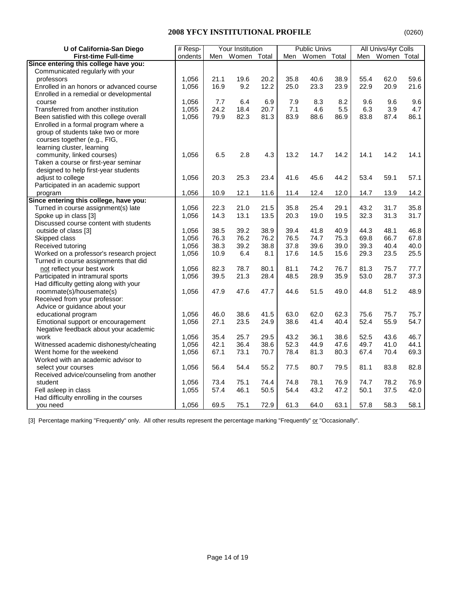| U of California-San Diego                | # Resp- | Your Institution |             |      |      | <b>Public Univs</b> |      | All Univs/4yr Colls |             |      |
|------------------------------------------|---------|------------------|-------------|------|------|---------------------|------|---------------------|-------------|------|
| <b>First-time Full-time</b>              | ondents | Men              | Women Total |      | Men  | Women Total         |      | Men                 | Women Total |      |
| Since entering this college have you:    |         |                  |             |      |      |                     |      |                     |             |      |
| Communicated regularly with your         |         |                  |             |      |      |                     |      |                     |             |      |
| professors                               | 1,056   | 21.1             | 19.6        | 20.2 | 35.8 | 40.6                | 38.9 | 55.4                | 62.0        | 59.6 |
| Enrolled in an honors or advanced course | 1,056   | 16.9             | 9.2         | 12.2 | 25.0 | 23.3                | 23.9 | 22.9                | 20.9        | 21.6 |
| Enrolled in a remedial or developmental  |         |                  |             |      |      |                     |      |                     |             |      |
| course                                   | 1,056   | 7.7              | 6.4         | 6.9  | 7.9  | 8.3                 | 8.2  | 9.6                 | 9.6         | 9.6  |
| Transferred from another institution     | 1,055   | 24.2             | 18.4        | 20.7 | 7.1  | 4.6                 | 5.5  | 6.3                 | 3.9         | 4.7  |
| Been satisfied with this college overall | 1,056   | 79.9             | 82.3        | 81.3 | 83.9 | 88.6                | 86.9 | 83.8                | 87.4        | 86.1 |
| Enrolled in a formal program where a     |         |                  |             |      |      |                     |      |                     |             |      |
| group of students take two or more       |         |                  |             |      |      |                     |      |                     |             |      |
| courses together (e.g., FIG,             |         |                  |             |      |      |                     |      |                     |             |      |
| learning cluster, learning               |         |                  |             |      |      |                     |      |                     |             |      |
| community, linked courses)               | 1,056   | 6.5              | 2.8         | 4.3  | 13.2 | 14.7                | 14.2 | 14.1                | 14.2        | 14.1 |
| Taken a course or first-year seminar     |         |                  |             |      |      |                     |      |                     |             |      |
| designed to help first-year students     |         |                  |             |      |      |                     |      |                     |             |      |
| adjust to college                        | 1,056   | 20.3             | 25.3        | 23.4 | 41.6 | 45.6                | 44.2 | 53.4                | 59.1        | 57.1 |
| Participated in an academic support      |         |                  |             |      |      |                     |      |                     |             |      |
| program                                  | 1,056   | 10.9             | 12.1        | 11.6 | 11.4 | 12.4                | 12.0 | 14.7                | 13.9        | 14.2 |
| Since entering this college, have you:   |         |                  |             |      |      |                     |      |                     |             |      |
| Turned in course assignment(s) late      | 1,056   | 22.3             | 21.0        | 21.5 | 35.8 | 25.4                | 29.1 | 43.2                | 31.7        | 35.8 |
| Spoke up in class [3]                    | 1,056   | 14.3             | 13.1        | 13.5 | 20.3 | 19.0                | 19.5 | 32.3                | 31.3        | 31.7 |
| Discussed course content with students   |         |                  |             |      |      |                     |      |                     |             |      |
| outside of class [3]                     | 1,056   | 38.5             | 39.2        | 38.9 | 39.4 | 41.8                | 40.9 | 44.3                | 48.1        | 46.8 |
| Skipped class                            | 1,056   | 76.3             | 76.2        | 76.2 | 76.5 | 74.7                | 75.3 | 69.8                | 66.7        | 67.8 |
| Received tutoring                        | 1,056   | 38.3             | 39.2        | 38.8 | 37.8 | 39.6                | 39.0 | 39.3                | 40.4        | 40.0 |
| Worked on a professor's research project | 1,056   | 10.9             | 6.4         | 8.1  | 17.6 | 14.5                | 15.6 | 29.3                | 23.5        | 25.5 |
| Turned in course assignments that did    |         |                  |             |      |      |                     |      |                     |             |      |
| not reflect your best work               | 1,056   | 82.3             | 78.7        | 80.1 | 81.1 | 74.2                | 76.7 | 81.3                | 75.7        | 77.7 |
| Participated in intramural sports        | 1,056   | 39.5             | 21.3        | 28.4 | 48.5 | 28.9                | 35.9 | 53.0                | 28.7        | 37.3 |
| Had difficulty getting along with your   |         |                  |             |      |      |                     |      |                     |             |      |
| roommate(s)/housemate(s)                 | 1,056   | 47.9             | 47.6        | 47.7 | 44.6 | 51.5                | 49.0 | 44.8                | 51.2        | 48.9 |
| Received from your professor:            |         |                  |             |      |      |                     |      |                     |             |      |
| Advice or guidance about your            |         |                  |             |      |      |                     |      |                     |             |      |
| educational program                      | 1,056   | 46.0             | 38.6        | 41.5 | 63.0 | 62.0                | 62.3 | 75.6                | 75.7        | 75.7 |
| Emotional support or encouragement       | 1,056   | 27.1             | 23.5        | 24.9 | 38.6 | 41.4                | 40.4 | 52.4                | 55.9        | 54.7 |
| Negative feedback about your academic    |         |                  |             |      |      |                     |      |                     |             |      |
| work                                     | 1,056   | 35.4             | 25.7        | 29.5 | 43.2 | 36.1                | 38.6 | 52.5                | 43.6        | 46.7 |
| Witnessed academic dishonesty/cheating   | 1,056   | 42.1             | 36.4        | 38.6 | 52.3 | 44.9                | 47.6 | 49.7                | 41.0        | 44.1 |
| Went home for the weekend                | 1,056   | 67.1             | 73.1        | 70.7 | 78.4 | 81.3                | 80.3 | 67.4                | 70.4        | 69.3 |
| Worked with an academic advisor to       |         |                  |             |      |      |                     |      |                     |             |      |
| select your courses                      | 1,056   | 56.4             | 54.4        | 55.2 | 77.5 | 80.7                | 79.5 | 81.1                | 83.8        | 82.8 |
| Received advice/counseling from another  |         |                  |             |      |      |                     |      |                     |             |      |
| student                                  | 1,056   | 73.4             | 75.1        | 74.4 | 74.8 | 78.1                | 76.9 | 74.7                | 78.2        | 76.9 |
| Fell asleep in class                     | 1,055   | 57.4             | 46.1        | 50.5 | 54.4 | 43.2                | 47.2 | 50.1                | 37.5        | 42.0 |
| Had difficulty enrolling in the courses  |         |                  |             |      |      |                     |      |                     |             |      |
| you need                                 | 1,056   | 69.5             | 75.1        | 72.9 | 61.3 | 64.0                | 63.1 | 57.8                | 58.3        | 58.1 |

[3] Percentage marking "Frequently" only. All other results represent the percentage marking "Frequently" or "Occasionally".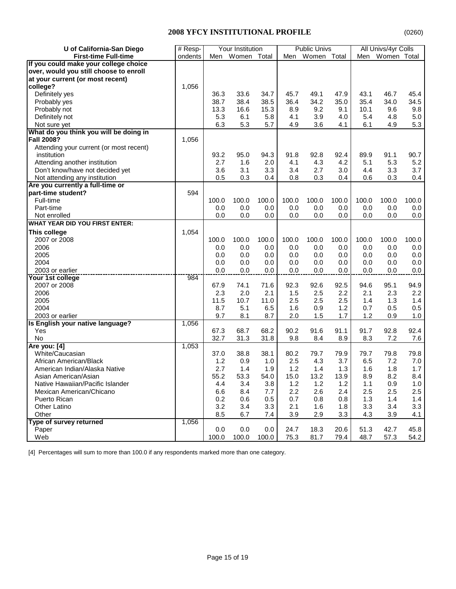| U of California-San Diego               | # Resp- | Your Institution |       | <b>Public Univs</b> |       |       | All Univs/4yr Colls |       |             |       |
|-----------------------------------------|---------|------------------|-------|---------------------|-------|-------|---------------------|-------|-------------|-------|
| <b>First-time Full-time</b>             | ondents | Men              | Women | Total               | Men   | Women | Total               | Men   | Women Total |       |
| If you could make your college choice   |         |                  |       |                     |       |       |                     |       |             |       |
| over, would you still choose to enroll  |         |                  |       |                     |       |       |                     |       |             |       |
| at your current (or most recent)        |         |                  |       |                     |       |       |                     |       |             |       |
| college?                                | 1,056   |                  |       |                     |       |       |                     |       |             |       |
| Definitely yes                          |         | 36.3             | 33.6  | 34.7                | 45.7  | 49.1  | 47.9                | 43.1  | 46.7        | 45.4  |
| Probably yes                            |         | 38.7             | 38.4  | 38.5                | 36.4  | 34.2  | 35.0                | 35.4  | 34.0        | 34.5  |
| Probably not                            |         | 13.3             | 16.6  | 15.3                | 8.9   | 9.2   | 9.1                 | 10.1  | 9.6         | 9.8   |
| Definitely not                          |         | 5.3              | 6.1   | 5.8                 | 4.1   | 3.9   | 4.0                 | 5.4   | 4.8         | 5.0   |
| Not sure yet                            |         | 6.3              | 5.3   | 5.7                 | 4.9   | 3.6   | 4.1                 | 6.1   | 4.9         | 5.3   |
| What do you think you will be doing in  |         |                  |       |                     |       |       |                     |       |             |       |
| <b>Fall 2008?</b>                       | 1,056   |                  |       |                     |       |       |                     |       |             |       |
| Attending your current (or most recent) |         |                  |       |                     |       |       |                     |       |             |       |
| institution                             |         | 93.2             | 95.0  | 94.3                | 91.8  | 92.8  | 92.4                | 89.9  | 91.1        | 90.7  |
| Attending another institution           |         | 2.7              | 1.6   | 2.0                 | 4.1   | 4.3   | 4.2                 | 5.1   | 5.3         | 5.2   |
| Don't know/have not decided yet         |         | 3.6              | 3.1   | 3.3                 | 3.4   | 2.7   | 3.0                 | 4.4   | 3.3         | 3.7   |
| Not attending any institution           |         | 0.5              | 0.3   | 0.4                 | 0.8   | 0.3   | 0.4                 | 0.6   | 0.3         | 0.4   |
| Are you currently a full-time or        |         |                  |       |                     |       |       |                     |       |             |       |
| part-time student?                      | 594     |                  |       |                     |       |       |                     |       |             |       |
| Full-time                               |         | 100.0            | 100.0 | 100.0               | 100.0 | 100.0 | 100.0               | 100.0 | 100.0       | 100.0 |
| Part-time                               |         | 0.0              | 0.0   | 0.0                 | 0.0   | 0.0   | 0.0                 | 0.0   | 0.0         | 0.0   |
| Not enrolled                            |         | 0.0              | 0.0   | 0.0                 | 0.0   | 0.0   | 0.0                 | 0.0   | 0.0         | 0.0   |
| <b>WHAT YEAR DID YOU FIRST ENTER:</b>   |         |                  |       |                     |       |       |                     |       |             |       |
| This college                            | 1,054   |                  |       |                     |       |       |                     |       |             |       |
| 2007 or 2008                            |         | 100.0            | 100.0 | 100.0               | 100.0 | 100.0 | 100.0               | 100.0 | 100.0       | 100.0 |
| 2006                                    |         | 0.0              | 0.0   | 0.0                 | 0.0   | 0.0   | 0.0                 | 0.0   | 0.0         | 0.0   |
| 2005                                    |         | 0.0              | 0.0   | 0.0                 | 0.0   | 0.0   | 0.0                 | 0.0   | 0.0         | 0.0   |
| 2004                                    |         | 0.0              | 0.0   | 0.0                 | 0.0   | 0.0   | 0.0                 | 0.0   | 0.0         | 0.0   |
| 2003 or earlier                         |         | 0.0              | 0.0   | 0.0                 | 0.0   | 0.0   | 0.0                 | 0.0   | 0.0         | 0.0   |
| <b>Your 1st college</b>                 | 984     |                  |       |                     |       |       |                     |       |             |       |
| 2007 or 2008                            |         | 67.9             | 74.1  | 71.6                | 92.3  | 92.6  | 92.5                | 94.6  | 95.1        | 94.9  |
| 2006                                    |         | 2.3              | 2.0   | 2.1                 | 1.5   | 2.5   | 2.2                 | 2.1   | 2.3         | 2.2   |
| 2005                                    |         | 11.5             | 10.7  | 11.0                | 2.5   | 2.5   | 2.5                 | 1.4   | 1.3         | 1.4   |
| 2004                                    |         | 8.7              | 5.1   | 6.5                 | 1.6   | 0.9   | 1.2                 | 0.7   | 0.5         | 0.5   |
| 2003 or earlier                         |         | 9.7              | 8.1   | 8.7                 | 2.0   | 1.5   | 1.7                 | 1.2   | 0.9         | 1.0   |
| Is English your native language?        | 1,056   |                  |       |                     |       |       |                     |       |             |       |
| Yes                                     |         | 67.3             | 68.7  | 68.2                | 90.2  | 91.6  | 91.1                | 91.7  | 92.8        | 92.4  |
| <b>No</b>                               |         | 32.7             | 31.3  | 31.8                | 9.8   | 8.4   | 8.9                 | 8.3   | 7.2         | 7.6   |
| Are you: [4]                            | 1,053   |                  |       |                     |       |       |                     |       |             |       |
| White/Caucasian                         |         | 37.0             | 38.8  | 38.1                | 80.2  | 79.7  | 79.9                | 79.7  | 79.8        | 79.8  |
| African American/Black                  |         | 1.2              | 0.9   | 1.0                 | 2.5   | 4.3   | 3.7                 | 6.5   | 7.2         | 7.0   |
| American Indian/Alaska Native           |         | 2.7              | 1.4   | 1.9                 | 1.2   | 1.4   | 1.3                 | 1.6   | 1.8         | 1.7   |
| Asian American/Asian                    |         | 55.2             | 53.3  | 54.0                | 15.0  | 13.2  | 13.9                | 8.9   | 8.2         | 8.4   |
| Native Hawaiian/Pacific Islander        |         | 4.4              | 3.4   | 3.8                 | 1.2   | 1.2   | 1.2                 | 1.1   | 0.9         | 1.0   |
| Mexican American/Chicano                |         | 6.6              | 8.4   | 7.7                 | 2.2   | 2.6   | 2.4                 | 2.5   | 2.5         | 2.5   |
| Puerto Rican                            |         | 0.2              | 0.6   | 0.5                 | 0.7   | 0.8   | 0.8                 | 1.3   | 1.4         | 1.4   |
| Other Latino                            |         | 3.2              | 3.4   | 3.3                 | 2.1   | 1.6   | 1.8                 | 3.3   | 3.4         | 3.3   |
| Other                                   |         | 8.5              | 6.7   | 7.4                 | 3.9   | 2.9   | 3.3                 | 4.3   | 3.9         | 4.1   |
| Type of survey returned                 | 1,056   |                  |       |                     |       |       |                     |       |             |       |
| Paper                                   |         | 0.0              | 0.0   | 0.0                 | 24.7  | 18.3  | 20.6                | 51.3  | 42.7        | 45.8  |
| Web                                     |         | 100.0            | 100.0 | 100.0               | 75.3  | 81.7  | 79.4                | 48.7  | 57.3        | 54.2  |
|                                         |         |                  |       |                     |       |       |                     |       |             |       |

[4] Percentages will sum to more than 100.0 if any respondents marked more than one category.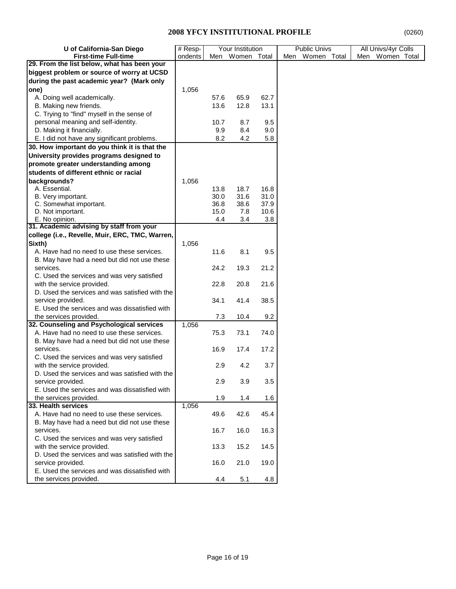| U of California-San Diego                       | $#$ Resp- | Your Institution |             | <b>Public Univs</b> | All Univs/4yr Colls |                 |  |
|-------------------------------------------------|-----------|------------------|-------------|---------------------|---------------------|-----------------|--|
| <b>First-time Full-time</b>                     | ondents   | Men              | Women Total |                     | Women Total<br>Men  | Men Women Total |  |
| 29. From the list below, what has been your     |           |                  |             |                     |                     |                 |  |
| biggest problem or source of worry at UCSD      |           |                  |             |                     |                     |                 |  |
| during the past academic year? (Mark only       |           |                  |             |                     |                     |                 |  |
| one)                                            | 1,056     |                  |             |                     |                     |                 |  |
| A. Doing well academically.                     |           | 57.6             | 65.9        | 62.7                |                     |                 |  |
| B. Making new friends.                          |           | 13.6             | 12.8        | 13.1                |                     |                 |  |
| C. Trying to "find" myself in the sense of      |           |                  |             |                     |                     |                 |  |
| personal meaning and self-identity.             |           | 10.7             | 8.7         | 9.5                 |                     |                 |  |
| D. Making it financially.                       |           | 9.9              | 8.4         | 9.0                 |                     |                 |  |
| E. I did not have any significant problems.     |           | 8.2              | 4.2         | 5.8                 |                     |                 |  |
| 30. How important do you think it is that the   |           |                  |             |                     |                     |                 |  |
| University provides programs designed to        |           |                  |             |                     |                     |                 |  |
| promote greater understanding among             |           |                  |             |                     |                     |                 |  |
| students of different ethnic or racial          |           |                  |             |                     |                     |                 |  |
| backgrounds?                                    | 1,056     |                  |             |                     |                     |                 |  |
| A. Essential.                                   |           | 13.8             | 18.7        | 16.8                |                     |                 |  |
| B. Very important.                              |           | 30.0             | 31.6        | 31.0                |                     |                 |  |
| C. Somewhat important.                          |           | 36.8             | 38.6        | 37.9                |                     |                 |  |
| D. Not important.                               |           | 15.0             | 7.8         | 10.6                |                     |                 |  |
| E. No opinion.                                  |           | 4.4              | 3.4         | 3.8                 |                     |                 |  |
| 31. Academic advising by staff from your        |           |                  |             |                     |                     |                 |  |
| college (i.e., Revelle, Muir, ERC, TMC, Warren, |           |                  |             |                     |                     |                 |  |
| Sixth)                                          | 1,056     |                  |             |                     |                     |                 |  |
| A. Have had no need to use these services.      |           | 11.6             | 8.1         | 9.5                 |                     |                 |  |
| B. May have had a need but did not use these    |           |                  |             |                     |                     |                 |  |
| services.                                       |           | 24.2             | 19.3        | 21.2                |                     |                 |  |
| C. Used the services and was very satisfied     |           |                  |             |                     |                     |                 |  |
| with the service provided.                      |           | 22.8             | 20.8        | 21.6                |                     |                 |  |
| D. Used the services and was satisfied with the |           |                  |             |                     |                     |                 |  |
| service provided.                               |           | 34.1             | 41.4        | 38.5                |                     |                 |  |
| E. Used the services and was dissatisfied with  |           |                  |             |                     |                     |                 |  |
| the services provided.                          |           | 7.3              | 10.4        | 9.2                 |                     |                 |  |
| 32. Counseling and Psychological services       | 1,056     |                  |             |                     |                     |                 |  |
| A. Have had no need to use these services.      |           | 75.3             | 73.1        | 74.0                |                     |                 |  |
| B. May have had a need but did not use these    |           |                  |             |                     |                     |                 |  |
| services.                                       |           | 16.9             | 17.4        | 17.2                |                     |                 |  |
| C. Used the services and was very satisfied     |           |                  |             |                     |                     |                 |  |
| with the service provided.                      |           | 2.9              | 4.2         | 3.7                 |                     |                 |  |
| D. Used the services and was satisfied with the |           |                  |             |                     |                     |                 |  |
| service provided.                               |           | 2.9              | 3.9         | 3.5                 |                     |                 |  |
| E. Used the services and was dissatisfied with  |           |                  |             |                     |                     |                 |  |
| the services provided.                          |           | 1.9              | 1.4         | 1.6                 |                     |                 |  |
| 33. Health services                             | 1,056     |                  |             |                     |                     |                 |  |
| A. Have had no need to use these services.      |           | 49.6             | 42.6        | 45.4                |                     |                 |  |
| B. May have had a need but did not use these    |           |                  |             |                     |                     |                 |  |
| services.                                       |           | 16.7             | 16.0        | 16.3                |                     |                 |  |
| C. Used the services and was very satisfied     |           |                  |             |                     |                     |                 |  |
| with the service provided.                      |           | 13.3             | 15.2        | 14.5                |                     |                 |  |
| D. Used the services and was satisfied with the |           |                  |             |                     |                     |                 |  |
| service provided.                               |           | 16.0             | 21.0        | 19.0                |                     |                 |  |
| E. Used the services and was dissatisfied with  |           |                  |             |                     |                     |                 |  |
| the services provided.                          |           | 4.4              | 5.1         | 4.8                 |                     |                 |  |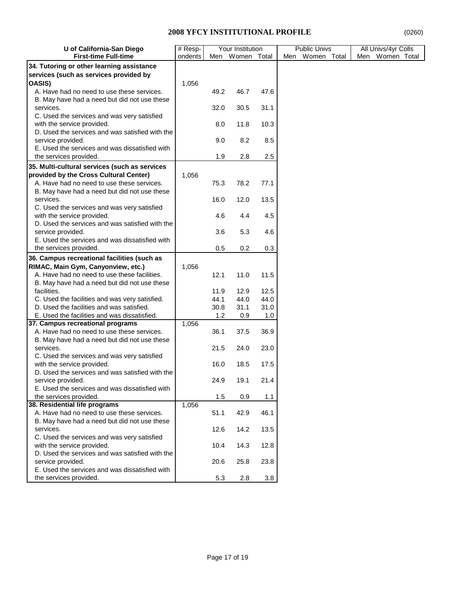| U of California-San Diego                                            | # Resp- | Your Institution |             |      | <b>Public Univs</b> | All Univs/4yr Colls |
|----------------------------------------------------------------------|---------|------------------|-------------|------|---------------------|---------------------|
| <b>First-time Full-time</b>                                          | ondents | Men              | Women Total |      | Men<br>Women Total  | Women Total<br>Men  |
| 34. Tutoring or other learning assistance                            |         |                  |             |      |                     |                     |
| services (such as services provided by                               |         |                  |             |      |                     |                     |
| OASIS)                                                               | 1,056   |                  |             |      |                     |                     |
| A. Have had no need to use these services.                           |         | 49.2             | 46.7        | 47.6 |                     |                     |
| B. May have had a need but did not use these                         |         |                  |             |      |                     |                     |
| services.                                                            |         | 32.0             | 30.5        | 31.1 |                     |                     |
| C. Used the services and was very satisfied                          |         |                  |             |      |                     |                     |
| with the service provided.                                           |         | 8.0              | 11.8        | 10.3 |                     |                     |
| D. Used the services and was satisfied with the                      |         |                  |             |      |                     |                     |
| service provided.                                                    |         | 9.0              | 8.2         | 8.5  |                     |                     |
| E. Used the services and was dissatisfied with                       |         |                  |             |      |                     |                     |
| the services provided.                                               |         | 1.9              | 2.8         | 2.5  |                     |                     |
| 35. Multi-cultural services (such as services                        |         |                  |             |      |                     |                     |
| provided by the Cross Cultural Center)                               | 1,056   |                  |             |      |                     |                     |
| A. Have had no need to use these services.                           |         | 75.3             | 78.2        | 77.1 |                     |                     |
| B. May have had a need but did not use these                         |         |                  |             |      |                     |                     |
| services.                                                            |         | 16.0             | 12.0        | 13.5 |                     |                     |
| C. Used the services and was very satisfied                          |         |                  |             |      |                     |                     |
| with the service provided.                                           |         | 4.6              | 4.4         | 4.5  |                     |                     |
| D. Used the services and was satisfied with the                      |         |                  |             |      |                     |                     |
| service provided.                                                    |         | 3.6              | 5.3         | 4.6  |                     |                     |
| E. Used the services and was dissatisfied with                       |         |                  |             |      |                     |                     |
| the services provided.                                               |         | 0.5              | 0.2         | 0.3  |                     |                     |
| 36. Campus recreational facilities (such as                          |         |                  |             |      |                     |                     |
| RIMAC, Main Gym, Canyonview, etc.)                                   | 1,056   |                  |             |      |                     |                     |
| A. Have had no need to use these facilities.                         |         | 12.1             | 11.0        | 11.5 |                     |                     |
| B. May have had a need but did not use these                         |         |                  |             |      |                     |                     |
| facilities.                                                          |         | 11.9             | 12.9        | 12.5 |                     |                     |
| C. Used the facilities and was very satisfied.                       |         | 44.1             | 44.0        | 44.0 |                     |                     |
| D. Used the facilities and was satisfied.                            |         | 30.8             | 31.1        | 31.0 |                     |                     |
| E. Used the facilities and was dissatisfied.                         |         | 1.2              | 0.9         | 1.0  |                     |                     |
| 37. Campus recreational programs                                     | 1,056   |                  |             |      |                     |                     |
| A. Have had no need to use these services.                           |         | 36.1             | 37.5        | 36.9 |                     |                     |
| B. May have had a need but did not use these                         |         |                  |             |      |                     |                     |
| services.                                                            |         | 21.5             | 24.0        | 23.0 |                     |                     |
| C. Used the services and was very satisfied                          |         |                  |             |      |                     |                     |
| with the service provided.                                           |         | 16.0             | 18.5        | 17.5 |                     |                     |
| D. Used the services and was satisfied with the<br>service provided. |         | 24.9             | 19.1        | 21.4 |                     |                     |
| E. Used the services and was dissatisfied with                       |         |                  |             |      |                     |                     |
| the services provided.                                               |         | 1.5              | 0.9         | 1.1  |                     |                     |
| 38. Residential life programs                                        | 1,056   |                  |             |      |                     |                     |
| A. Have had no need to use these services.                           |         | 51.1             | 42.9        | 46.1 |                     |                     |
| B. May have had a need but did not use these                         |         |                  |             |      |                     |                     |
| services.                                                            |         | 12.6             | 14.2        | 13.5 |                     |                     |
| C. Used the services and was very satisfied                          |         |                  |             |      |                     |                     |
| with the service provided.                                           |         | 10.4             | 14.3        | 12.8 |                     |                     |
| D. Used the services and was satisfied with the                      |         |                  |             |      |                     |                     |
| service provided.                                                    |         | 20.6             | 25.8        | 23.8 |                     |                     |
| E. Used the services and was dissatisfied with                       |         |                  |             |      |                     |                     |
| the services provided.                                               |         | 5.3              | 2.8         | 3.8  |                     |                     |
|                                                                      |         |                  |             |      |                     |                     |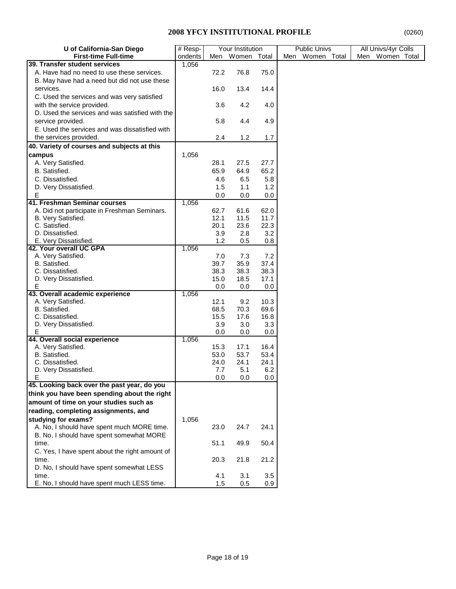| U of California-San Diego                       | # Resp- | Your Institution |              | <b>Public Univs</b> | All Univs/4yr Colls |                    |  |  |
|-------------------------------------------------|---------|------------------|--------------|---------------------|---------------------|--------------------|--|--|
| <b>First-time Full-time</b>                     | ondents | Men              | Women        | Total               | Men<br>Women Total  | Women Total<br>Men |  |  |
| 39. Transfer student services                   | 1,056   |                  |              |                     |                     |                    |  |  |
| A. Have had no need to use these services.      |         | 72.2             | 76.8         | 75.0                |                     |                    |  |  |
| B. May have had a need but did not use these    |         |                  |              |                     |                     |                    |  |  |
| services.                                       |         | 16.0             | 13.4         | 14.4                |                     |                    |  |  |
| C. Used the services and was very satisfied     |         |                  |              |                     |                     |                    |  |  |
| with the service provided.                      |         | 3.6              | 4.2          | 4.0                 |                     |                    |  |  |
| D. Used the services and was satisfied with the |         |                  |              |                     |                     |                    |  |  |
| service provided.                               |         | 5.8              | 4.4          | 4.9                 |                     |                    |  |  |
| E. Used the services and was dissatisfied with  |         |                  |              |                     |                     |                    |  |  |
| the services provided.                          |         | 2.4              | 1.2          | 1.7                 |                     |                    |  |  |
| 40. Variety of courses and subjects at this     |         |                  |              |                     |                     |                    |  |  |
| campus                                          | 1,056   |                  |              |                     |                     |                    |  |  |
|                                                 |         |                  |              |                     |                     |                    |  |  |
| A. Very Satisfied.                              |         | 28.1             | 27.5         | 27.7                |                     |                    |  |  |
| B. Satisfied.                                   |         | 65.9             | 64.9         | 65.2                |                     |                    |  |  |
| C. Dissatisfied.                                |         | 4.6              | 6.5          | 5.8                 |                     |                    |  |  |
| D. Very Dissatisfied.                           |         | 1.5              | 1.1          | 1.2                 |                     |                    |  |  |
| Е                                               |         | 0.0              | 0.0          | 0.0                 |                     |                    |  |  |
| 41. Freshman Seminar courses                    | 1,056   |                  |              |                     |                     |                    |  |  |
| A. Did not participate in Freshman Seminars.    |         | 62.7             | 61.6         | 62.0                |                     |                    |  |  |
| B. Very Satisfied.                              |         | 12.1             | 11.5         | 11.7                |                     |                    |  |  |
| C. Satisfied.                                   |         | 20.1             | 23.6         | 22.3                |                     |                    |  |  |
| D. Dissatisfied.                                |         | 3.9              | 2.8          | 3.2                 |                     |                    |  |  |
| E. Very Dissatisfied.                           |         | 1.2              | 0.5          | 0.8                 |                     |                    |  |  |
| 42. Your overall UC GPA                         | 1,056   |                  |              |                     |                     |                    |  |  |
| A. Very Satisfied.                              |         | 7.0              | 7.3          | 7.2                 |                     |                    |  |  |
| B. Satisfied.                                   |         | 39.7             | 35.9         | 37.4                |                     |                    |  |  |
| C. Dissatisfied.                                |         | 38.3             | 38.3         | 38.3                |                     |                    |  |  |
| D. Very Dissatisfied.                           |         | 15.0             | 18.5         | 17.1                |                     |                    |  |  |
| Е                                               |         | 0.0              | 0.0          | 0.0                 |                     |                    |  |  |
| 43. Overall academic experience                 | 1,056   |                  |              |                     |                     |                    |  |  |
| A. Very Satisfied.                              |         | 12.1             | 9.2          | 10.3                |                     |                    |  |  |
| B. Satisfied.<br>C. Dissatisfied.               |         | 68.5<br>15.5     | 70.3<br>17.6 | 69.6                |                     |                    |  |  |
|                                                 |         |                  |              | 16.8                |                     |                    |  |  |
| D. Very Dissatisfied.<br>Е                      |         | 3.9<br>0.0       | 3.0<br>0.0   | 3.3<br>0.0          |                     |                    |  |  |
| 44. Overall social experience                   | 1,056   |                  |              |                     |                     |                    |  |  |
| A. Very Satisfied.                              |         | 15.3             | 17.1         | 16.4                |                     |                    |  |  |
| B. Satisfied.                                   |         | 53.0             | 53.7         | 53.4                |                     |                    |  |  |
| C. Dissatisfied.                                |         | 24.0             | 24.1         | 24.1                |                     |                    |  |  |
| D. Very Dissatisfied.                           |         | 7.7              | 5.1          | 6.2                 |                     |                    |  |  |
| E                                               |         | 0.0              | 0.0          | 0.0                 |                     |                    |  |  |
| 45. Looking back over the past year, do you     |         |                  |              |                     |                     |                    |  |  |
| think you have been spending about the right    |         |                  |              |                     |                     |                    |  |  |
| amount of time on your studies such as          |         |                  |              |                     |                     |                    |  |  |
| reading, completing assignments, and            |         |                  |              |                     |                     |                    |  |  |
|                                                 |         |                  |              |                     |                     |                    |  |  |
| studying for exams?                             | 1,056   |                  |              |                     |                     |                    |  |  |
| A. No, I should have spent much MORE time.      |         | 23.0             | 24.7         | 24.1                |                     |                    |  |  |
| B. No, I should have spent somewhat MORE        |         |                  |              |                     |                     |                    |  |  |
| time.                                           |         | 51.1             | 49.9         | 50.4                |                     |                    |  |  |
| C. Yes, I have spent about the right amount of  |         |                  |              |                     |                     |                    |  |  |
| time.                                           |         | 20.3             | 21.8         | 21.2                |                     |                    |  |  |
| D. No, I should have spent somewhat LESS        |         |                  |              |                     |                     |                    |  |  |
| time.                                           |         | 4.1              | 3.1          | 3.5                 |                     |                    |  |  |
| E. No, I should have spent much LESS time.      |         | 1.5              | 0.5          | 0.9                 |                     |                    |  |  |